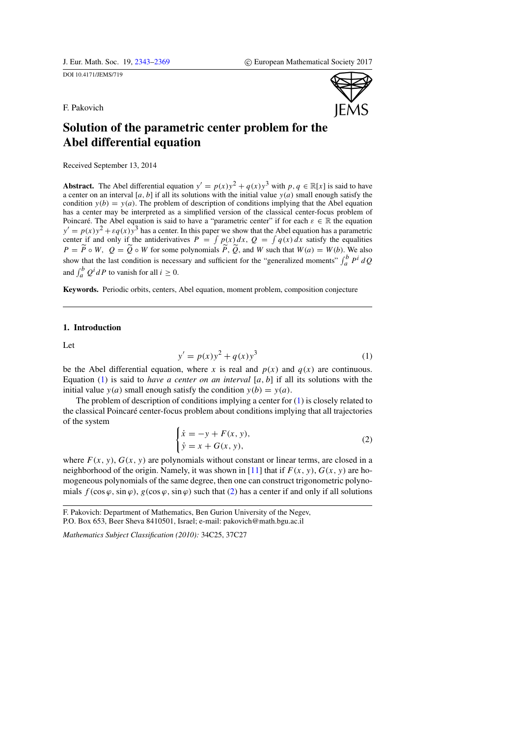<span id="page-0-0"></span>DOI 10.4171/JEMS/719



F. Pakovich

# Solution of the parametric center problem for the Abel differential equation

Received September 13, 2014

**Abstract.** The Abel differential equation  $y' = p(x)y^2 + q(x)y^3$  with  $p, q \in \mathbb{R}[x]$  is said to have a center on an interval [a, b] if all its solutions with the initial value  $y(a)$  small enough satisfy the condition  $y(b) = y(a)$ . The problem of description of conditions implying that the Abel equation has a center may be interpreted as a simplified version of the classical center-focus problem of Poincaré. The Abel equation is said to have a "parametric center" if for each  $\varepsilon \in \mathbb{R}$  the equation  $y' = p(x)y^2 + \varepsilon q(x)y^3$  has a center. In this paper we show that the Abel equation has a parametric center if and only if the antiderivatives  $P = \int p(x) dx$ ,  $Q = \int q(x) dx$  satisfy the equalities  $P = \overline{P} \circ W$ ,  $Q = \overline{Q} \circ W$  for some polynomials  $\overline{P}$ ,  $\overline{Q}$ , and W such that  $W(a) = W(b)$ . We also show that the last condition is necessary and sufficient for the "generalized moments"  $\int_a^b P^i dQ$ and  $\int_a^b Q^i dP$  to vanish for all  $i \ge 0$ .

Keywords. Periodic orbits, centers, Abel equation, moment problem, composition conjecture

# 1. Introduction

<span id="page-0-1"></span>Let

$$
y' = p(x)y^{2} + q(x)y^{3}
$$
 (1)

be the Abel differential equation, where x is real and  $p(x)$  and  $q(x)$  are continuous. Equation [\(1\)](#page-0-1) is said to *have a center on an interval* [ $a, b$ ] if all its solutions with the initial value  $y(a)$  small enough satisfy the condition  $y(b) = y(a)$ .

<span id="page-0-2"></span>The problem of description of conditions implying a center for [\(1\)](#page-0-1) is closely related to the classical Poincaré center-focus problem about conditions implying that all trajectories of the system

$$
\begin{cases}\n\dot{x} = -y + F(x, y), \\
\dot{y} = x + G(x, y),\n\end{cases}
$$
\n(2)

where  $F(x, y)$ ,  $G(x, y)$  are polynomials without constant or linear terms, are closed in a neighborhood of the origin. Namely, it was shown in [\[11\]](#page-25-0) that if  $F(x, y)$ ,  $G(x, y)$  are homogeneous polynomials of the same degree, then one can construct trigonometric polynomials  $f(\cos \varphi, \sin \varphi)$ ,  $g(\cos \varphi, \sin \varphi)$  such that [\(2\)](#page-0-2) has a center if and only if all solutions

*Mathematics Subject Classification (2010):* 34C25, 37C27

F. Pakovich: Department of Mathematics, Ben Gurion University of the Negev, P.O. Box 653, Beer Sheva 8410501, Israel; e-mail: pakovich@math.bgu.ac.il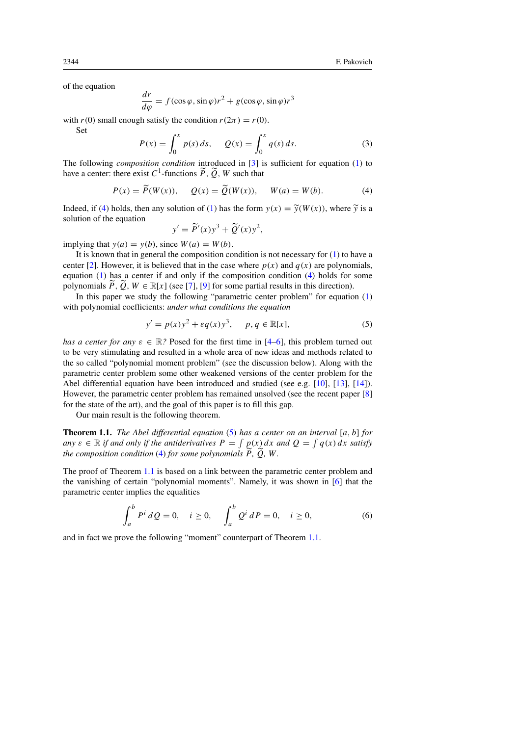of the equation

$$
\frac{dr}{d\varphi} = f(\cos\varphi, \sin\varphi)r^2 + g(\cos\varphi, \sin\varphi)r^3
$$

with  $r(0)$  small enough satisfy the condition  $r(2\pi) = r(0)$ .

Set

$$
P(x) = \int_0^x p(s) \, ds, \qquad Q(x) = \int_0^x q(s) \, ds. \tag{3}
$$

The following *composition condition* introduced in [\[3\]](#page-25-1) is sufficient for equation [\(1\)](#page-0-1) to have a center: there exist  $C^1$ -functions  $\widetilde{P}, \widetilde{Q}, W$  such that

$$
P(x) = \widetilde{P}(W(x)), \quad Q(x) = \widetilde{Q}(W(x)), \quad W(a) = W(b).
$$
 (4)

Indeed, if [\(4\)](#page-1-0) holds, then any solution of [\(1\)](#page-0-1) has the form  $y(x) = \tilde{y}(W(x))$ , where  $\tilde{y}$  is a solution of the equation

<span id="page-1-1"></span><span id="page-1-0"></span>
$$
y' = \widetilde{P}'(x)y^3 + \widetilde{Q}'(x)y^2,
$$

implying that  $y(a) = y(b)$ , since  $W(a) = W(b)$ .

It is known that in general the composition condition is not necessary for  $(1)$  to have a center [\[2\]](#page-25-2). However, it is believed that in the case where  $p(x)$  and  $q(x)$  are polynomials, equation [\(1\)](#page-0-1) has a center if and only if the composition condition [\(4\)](#page-1-0) holds for some polynomials  $\tilde{P}, \tilde{Q}, W \in \mathbb{R}[x]$  (see [\[7\]](#page-25-3), [\[9\]](#page-25-4) for some partial results in this direction).

In this paper we study the following "parametric center problem" for equation  $(1)$ with polynomial coefficients: *under what conditions the equation*

$$
y' = p(x)y^{2} + \varepsilon q(x)y^{3}, \quad p, q \in \mathbb{R}[x],
$$
 (5)

*has a center for any*  $\varepsilon \in \mathbb{R}$ ? Posed for the first time in [\[4–](#page-25-5)[6\]](#page-25-6), this problem turned out to be very stimulating and resulted in a whole area of new ideas and methods related to the so called "polynomial moment problem" (see the discussion below). Along with the parametric center problem some other weakened versions of the center problem for the Abel differential equation have been introduced and studied (see e.g. [\[10\]](#page-25-7), [\[13\]](#page-26-1), [\[14\]](#page-26-2)). However, the parametric center problem has remained unsolved (see the recent paper [\[8\]](#page-25-8) for the state of the art), and the goal of this paper is to fill this gap.

Our main result is the following theorem.

<span id="page-1-2"></span>Theorem 1.1. *The Abel differential equation* [\(5\)](#page-1-1) *has a center on an interval* [a, b] *for* any  $\varepsilon \in \mathbb{R}$  *if and only if the antiderivatives*  $P = \int p(x) dx$  *and*  $Q = \int q(x) dx$  *satisfy the composition condition* [\(4\)](#page-1-0) *for some polynomials*  $\tilde{P}$ *,*  $\tilde{Q}$ *, W*.

The proof of Theorem [1.1](#page-1-2) is based on a link between the parametric center problem and the vanishing of certain "polynomial moments". Namely, it was shown in [\[6\]](#page-25-6) that the parametric center implies the equalities

<span id="page-1-3"></span>
$$
\int_{a}^{b} P^{i} dQ = 0, \quad i \ge 0, \quad \int_{a}^{b} Q^{i} dP = 0, \quad i \ge 0,
$$
\n(6)

<span id="page-1-4"></span>and in fact we prove the following "moment" counterpart of Theorem [1.1.](#page-1-2)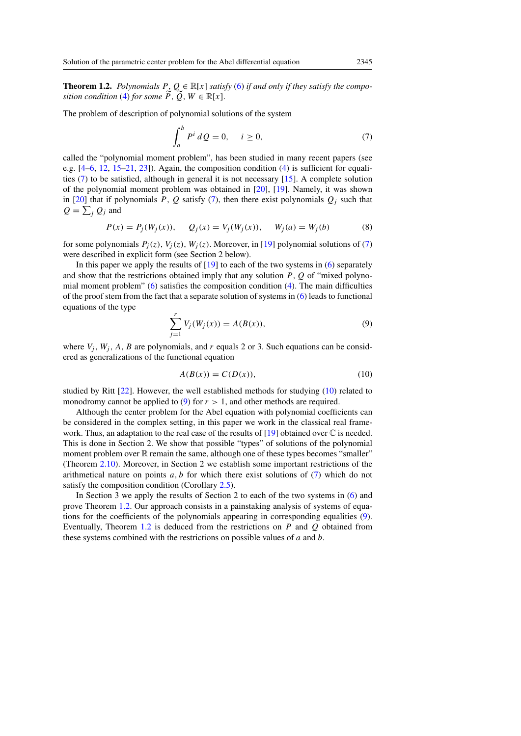**Theorem 1.2.** *Polynomials*  $P, Q \in \mathbb{R}[x]$  *satisfy* [\(6\)](#page-1-3) *if and only if they satisfy the composition condition* [\(4\)](#page-1-0) *for some*  $\tilde{P}$ ,  $\tilde{Q}$ ,  $W \in \mathbb{R}[x]$ .

The problem of description of polynomial solutions of the system

<span id="page-2-0"></span>
$$
\int_{a}^{b} P^{i} dQ = 0, \quad i \ge 0,
$$
\n(7)

called the "polynomial moment problem", has been studied in many recent papers (see e.g.  $[4-6, 12, 15-21, 23]$  $[4-6, 12, 15-21, 23]$  $[4-6, 12, 15-21, 23]$  $[4-6, 12, 15-21, 23]$  $[4-6, 12, 15-21, 23]$  $[4-6, 12, 15-21, 23]$  $[4-6, 12, 15-21, 23]$  $[4-6, 12, 15-21, 23]$ . Again, the composition condition  $(4)$  is sufficient for equalities [\(7\)](#page-2-0) to be satisfied, although in general it is not necessary [\[15\]](#page-26-4). A complete solution of the polynomial moment problem was obtained in [\[20\]](#page-26-7), [\[19\]](#page-26-8). Namely, it was shown in [\[20\]](#page-26-7) that if polynomials P, Q satisfy [\(7\)](#page-2-0), then there exist polynomials  $Q_i$  such that  $Q = \sum_j Q_j$  and

$$
P(x) = P_j(W_j(x)), \quad Q_j(x) = V_j(W_j(x)), \quad W_j(a) = W_j(b)
$$
\n(8)

for some polynomials  $P_i(z)$ ,  $V_i(z)$ ,  $W_i(z)$ . Moreover, in [\[19\]](#page-26-8) polynomial solutions of [\(7\)](#page-2-0) were described in explicit form (see Section 2 below).

In this paper we apply the results of  $[19]$  to each of the two systems in [\(6\)](#page-1-3) separately and show that the restrictions obtained imply that any solution  $P$ ,  $Q$  of "mixed polynomial moment problem"  $(6)$  satisfies the composition condition  $(4)$ . The main difficulties of the proof stem from the fact that a separate solution of systems in [\(6\)](#page-1-3) leads to functional equations of the type

<span id="page-2-2"></span>
$$
\sum_{j=1}^{r} V_j(W_j(x)) = A(B(x)),
$$
\n(9)

where  $V_i$ ,  $W_i$ , A, B are polynomials, and r equals 2 or 3. Such equations can be considered as generalizations of the functional equation

<span id="page-2-1"></span>
$$
A(B(x)) = C(D(x)),
$$
\n(10)

studied by Ritt [\[22\]](#page-26-9). However, the well established methods for studying [\(10\)](#page-2-1) related to monodromy cannot be applied to [\(9\)](#page-2-2) for  $r > 1$ , and other methods are required.

Although the center problem for the Abel equation with polynomial coefficients can be considered in the complex setting, in this paper we work in the classical real frame-work. Thus, an adaptation to the real case of the results of [\[19\]](#page-26-8) obtained over  $\mathbb C$  is needed. This is done in Section 2. We show that possible "types" of solutions of the polynomial moment problem over  $\mathbb R$  remain the same, although one of these types becomes "smaller" (Theorem [2.10\)](#page-8-0). Moreover, in Section 2 we establish some important restrictions of the arithmetical nature on points  $a, b$  for which there exist solutions of  $(7)$  which do not satisfy the composition condition (Corollary [2.5\)](#page-6-0).

In Section 3 we apply the results of Section 2 to each of the two systems in [\(6\)](#page-1-3) and prove Theorem [1.2.](#page-1-4) Our approach consists in a painstaking analysis of systems of equations for the coefficients of the polynomials appearing in corresponding equalities [\(9\)](#page-2-2). Eventually, Theorem [1.2](#page-1-4) is deduced from the restrictions on  $P$  and  $Q$  obtained from these systems combined with the restrictions on possible values of a and b.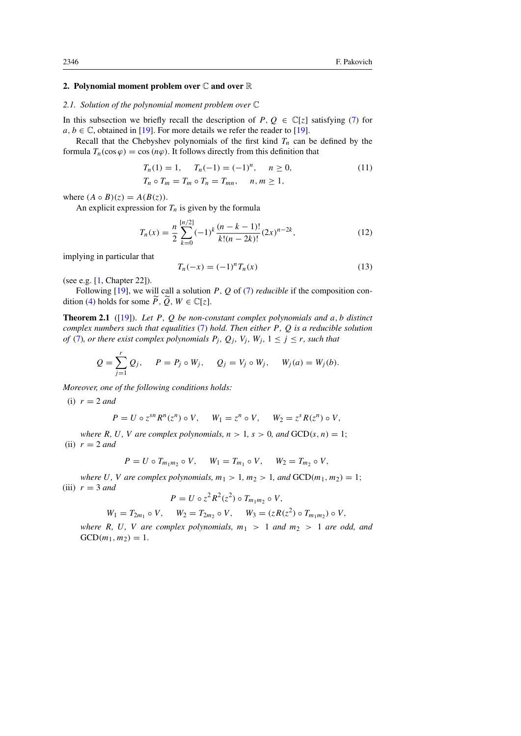# 2. Polynomial moment problem over  $\mathbb C$  and over  $\mathbb R$

### *2.1. Solution of the polynomial moment problem over* C

In this subsection we briefly recall the description of  $P, Q \in \mathbb{C}[z]$  satisfying [\(7\)](#page-2-0) for  $a, b \in \mathbb{C}$ , obtained in [\[19\]](#page-26-8). For more details we refer the reader to [19].

Recall that the Chebyshev polynomials of the first kind  $T_n$  can be defined by the formula  $T_n(\cos \varphi) = \cos(n\varphi)$ . It follows directly from this definition that

$$
T_n(1) = 1, \quad T_n(-1) = (-1)^n, \quad n \ge 0,
$$
  
\n
$$
T_n \circ T_m = T_m \circ T_n = T_{mn}, \quad n, m \ge 1,
$$
\n(11)

where  $(A \circ B)(z) = A(B(z)).$ 

An explicit expression for  $T_n$  is given by the formula

$$
T_n(x) = \frac{n}{2} \sum_{k=0}^{\lfloor n/2 \rfloor} (-1)^k \frac{(n-k-1)!}{k!(n-2k)!} (2x)^{n-2k},\tag{12}
$$

implying in particular that

<span id="page-3-3"></span><span id="page-3-2"></span><span id="page-3-1"></span>
$$
T_n(-x) = (-1)^n T_n(x)
$$
\n(13)

(see e.g. [\[1,](#page-25-9) Chapter 22]).

 $\overline{r}$ 

Following  $[19]$ , we will call a solution P, Q of  $(7)$  *reducible* if the composition con-dition [\(4\)](#page-1-0) holds for some  $\widetilde{P}$ ,  $\widetilde{Q}$ ,  $W \in \mathbb{C}[z]$ .

<span id="page-3-0"></span>Theorem 2.1 ([\[19\]](#page-26-8)). *Let* P*,* Q *be non-constant complex polynomials and* a, b *distinct complex numbers such that equalities* [\(7\)](#page-2-0) *hold. Then either* P*,* Q *is a reducible solution of* [\(7\)](#page-2-0)*, or there exist complex polynomials*  $P_j$ *,*  $Q_j$ *,*  $V_j$ *,*  $W_j$ *,*  $1 \le j \le r$ *, such that* 

$$
Q = \sum_{j=1}^{r} Q_j
$$
,  $P = P_j \circ W_j$ ,  $Q_j = V_j \circ W_j$ ,  $W_j(a) = W_j(b)$ .

*Moreover, one of the following conditions holds:*

(i)  $r = 2$  *and* 

$$
P = U \circ z^{sn} R^n(z^n) \circ V, \quad W_1 = z^n \circ V, \quad W_2 = z^s R(z^n) \circ V,
$$

*where* R, U, V are complex polynomials,  $n > 1$ ,  $s > 0$ , and  $GCD(s, n) = 1$ ; (ii)  $r = 2$  *and* 

$$
P = U \circ T_{m_1 m_2} \circ V, \quad W_1 = T_{m_1} \circ V, \quad W_2 = T_{m_2} \circ V,
$$

*where* U, V are complex polynomials,  $m_1 > 1$ ,  $m_2 > 1$ , and  $GCD(m_1, m_2) = 1$ ;  $(iii)$   $r = 3$  *and* 

$$
P = U \circ z^2 R^2(z^2) \circ T_{m_1 m_2} \circ V,
$$

$$
W_1 = T_{2m_1} \circ V
$$
,  $W_2 = T_{2m_2} \circ V$ ,  $W_3 = (zR(z^2) \circ T_{m_1m_2}) \circ V$ ,

*where* R, U, V are complex polynomials,  $m_1 > 1$  and  $m_2 > 1$  are odd, and  $GCD(m_1, m_2) = 1.$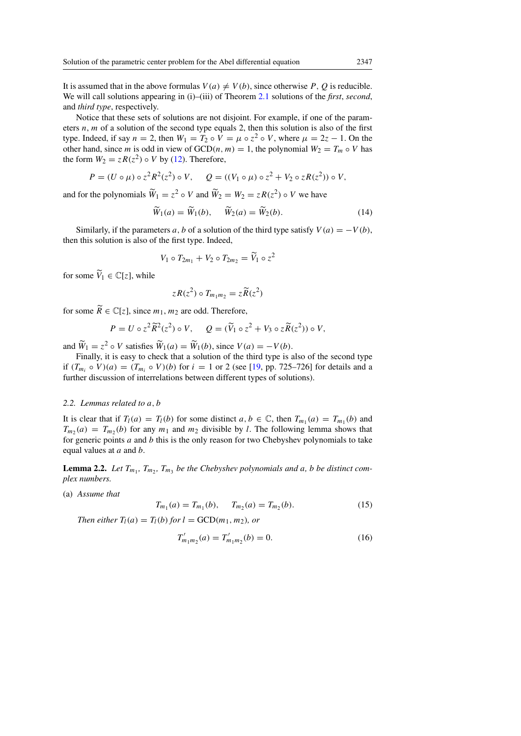It is assumed that in the above formulas  $V(a) \neq V(b)$ , since otherwise P, Q is reducible. We will call solutions appearing in (i)–(iii) of Theorem [2.1](#page-3-0) solutions of the *first*, *second*, and *third type*, respectively.

Notice that these sets of solutions are not disjoint. For example, if one of the parameters  $n$ ,  $m$  of a solution of the second type equals 2, then this solution is also of the first type. Indeed, if say  $n = 2$ , then  $W_1 = T_2 \circ V = \mu \circ z^2 \circ V$ , where  $\mu = 2z - 1$ . On the other hand, since m is odd in view of  $GCD(n, m) = 1$ , the polynomial  $W_2 = T_m \circ V$  has the form  $W_2 = zR(z^2) \circ V$  by [\(12\)](#page-3-1). Therefore,

$$
P = (U \circ \mu) \circ z^2 R^2(z^2) \circ V, \quad Q = ((V_1 \circ \mu) \circ z^2 + V_2 \circ zR(z^2)) \circ V,
$$

and for the polynomials  $\widetilde{W}_1 = z^2 \circ V$  and  $\widetilde{W}_2 = W_2 = zR(z^2) \circ V$  we have

$$
\widetilde{W}_1(a) = \widetilde{W}_1(b), \quad \widetilde{W}_2(a) = \widetilde{W}_2(b). \tag{14}
$$

Similarly, if the parameters a, b of a solution of the third type satisfy  $V(a) = -V(b)$ , then this solution is also of the first type. Indeed,

$$
V_1 \circ T_{2m_1} + V_2 \circ T_{2m_2} = \widetilde{V}_1 \circ z^2
$$

for some  $\widetilde{V}_1 \in \mathbb{C}[z]$ , while

$$
zR(z^2) \circ T_{m_1m_2} = z\widetilde{R}(z^2)
$$

for some  $\widetilde{R} \in \mathbb{C}[z]$ , since  $m_1, m_2$  are odd. Therefore,

$$
P = U \circ z^2 \widetilde{R}^2(z^2) \circ V, \quad Q = (\widetilde{V}_1 \circ z^2 + V_3 \circ z \widetilde{R}(z^2)) \circ V,
$$

and  $\widetilde{W}_1 = z^2 \circ V$  satisfies  $\widetilde{W}_1(a) = \widetilde{W}_1(b)$ , since  $V(a) = -V(b)$ .

Finally, it is easy to check that a solution of the third type is also of the second type if  $(T_{m_i} \circ V)(a) = (T_{m_i} \circ V)(b)$  for  $i = 1$  or 2 (see [\[19,](#page-26-8) pp. 725–726] for details and a further discussion of interrelations between different types of solutions).

## *2.2. Lemmas related to* a, b

It is clear that if  $T_l(a) = T_l(b)$  for some distinct  $a, b \in \mathbb{C}$ , then  $T_{m_1}(a) = T_{m_1}(b)$  and  $T_{m_2}(a) = T_{m_2}(b)$  for any  $m_1$  and  $m_2$  divisible by l. The following lemma shows that for generic points  $a$  and  $b$  this is the only reason for two Chebyshev polynomials to take equal values at a and b.

<span id="page-4-1"></span>**Lemma 2.2.** Let  $T_{m_1}$ ,  $T_{m_2}$ ,  $T_{m_3}$  be the Chebyshev polynomials and a, b be distinct com*plex numbers.*

(a) *Assume that*

<span id="page-4-0"></span>
$$
T_{m_1}(a) = T_{m_1}(b), \quad T_{m_2}(a) = T_{m_2}(b). \tag{15}
$$

*Then either*  $T_l(a) = T_l(b)$  *for*  $l = GCD(m_1, m_2)$ *, or* 

$$
T'_{m_1m_2}(a) = T'_{m_1m_2}(b) = 0.
$$
 (16)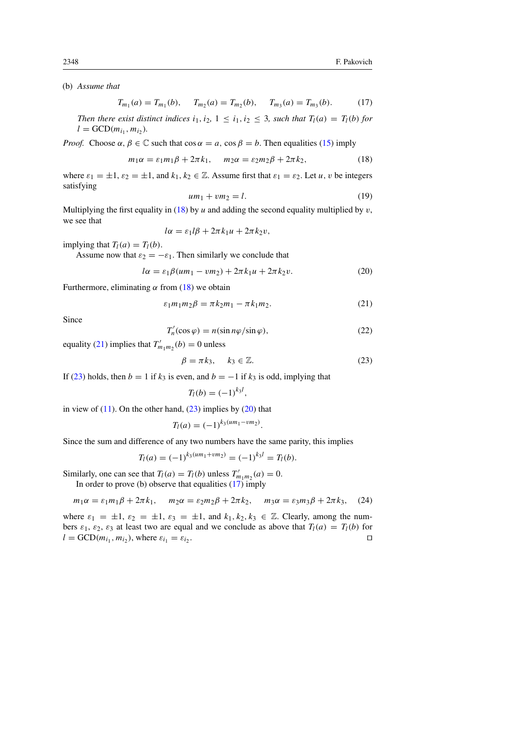(b) *Assume that*

<span id="page-5-4"></span>
$$
T_{m_1}(a) = T_{m_1}(b), \quad T_{m_2}(a) = T_{m_2}(b), \quad T_{m_3}(a) = T_{m_3}(b). \tag{17}
$$

*Then there exist distinct indices*  $i_1, i_2, 1 \leq i_1, i_2 \leq 3$ *, such that*  $T_l(a) = T_l(b)$  *for*  $l = GCD(m_{i_1}, m_{i_2}).$ 

*Proof.* Choose  $\alpha, \beta \in \mathbb{C}$  such that  $\cos \alpha = a$ ,  $\cos \beta = b$ . Then equalities [\(15\)](#page-4-0) imply

$$
m_1\alpha = \varepsilon_1 m_1\beta + 2\pi k_1, \quad m_2\alpha = \varepsilon_2 m_2\beta + 2\pi k_2,\tag{18}
$$

where  $\varepsilon_1 = \pm 1$ ,  $\varepsilon_2 = \pm 1$ , and  $k_1, k_2 \in \mathbb{Z}$ . Assume first that  $\varepsilon_1 = \varepsilon_2$ . Let  $u, v$  be integers satisfying

<span id="page-5-3"></span><span id="page-5-0"></span>
$$
um_1 + v m_2 = l. \tag{19}
$$

Multiplying the first equality in [\(18\)](#page-5-0) by u and adding the second equality multiplied by  $v$ , we see that

$$
l\alpha = \varepsilon_1 l\beta + 2\pi k_1 u + 2\pi k_2 v,
$$

implying that  $T_l(a) = T_l(b)$ .

Assume now that  $\varepsilon_2 = -\varepsilon_1$ . Then similarly we conclude that

$$
l\alpha = \varepsilon_1 \beta (um_1 - v m_2) + 2\pi k_1 u + 2\pi k_2 v. \tag{20}
$$

Furthermore, eliminating  $\alpha$  from [\(18\)](#page-5-0) we obtain

<span id="page-5-1"></span>
$$
\varepsilon_1 m_1 m_2 \beta = \pi k_2 m_1 - \pi k_1 m_2. \tag{21}
$$

<span id="page-5-5"></span>Since

$$
T'_n(\cos\varphi) = n(\sin n\varphi/\sin\varphi),\tag{22}
$$

equality [\(21\)](#page-5-1) implies that  $T'_{m_1m_2}(b) = 0$  unless

<span id="page-5-2"></span>
$$
\beta = \pi k_3, \quad k_3 \in \mathbb{Z}.\tag{23}
$$

If [\(23\)](#page-5-2) holds, then  $b = 1$  if  $k_3$  is even, and  $b = -1$  if  $k_3$  is odd, implying that

$$
T_l(b) = (-1)^{k_3l},
$$

in view of  $(11)$ . On the other hand,  $(23)$  implies by  $(20)$  that

$$
T_l(a) = (-1)^{k_3(u m_1 - v m_2)}.
$$

Since the sum and difference of any two numbers have the same parity, this implies

$$
T_l(a) = (-1)^{k_3(u m_1 + v m_2)} = (-1)^{k_3 l} = T_l(b).
$$

Similarly, one can see that  $T_l(a) = T_l(b)$  unless  $T'_{m_1m_2}(a) = 0$ . In order to prove (b) observe that equalities  $(17)$  imply

$$
m_1\alpha = \varepsilon_1 m_1\beta + 2\pi k_1, \quad m_2\alpha = \varepsilon_2 m_2\beta + 2\pi k_2, \quad m_3\alpha = \varepsilon_3 m_3\beta + 2\pi k_3, \quad (24)
$$

<span id="page-5-6"></span>where  $\varepsilon_1 = \pm 1$ ,  $\varepsilon_2 = \pm 1$ ,  $\varepsilon_3 = \pm 1$ , and  $k_1, k_2, k_3 \in \mathbb{Z}$ . Clearly, among the numbers  $\varepsilon_1$ ,  $\varepsilon_2$ ,  $\varepsilon_3$  at least two are equal and we conclude as above that  $T_l(a) = T_l(b)$  for  $l = GCD(m_{i_1}, m_{i_2})$ , where  $\varepsilon_{i_1} = \varepsilon_{i_2}$ . The contract of the contract of the contract of the contract of the contract of the contract of the contract of the contract of the contract of the contract of the contract of the contract of the contract of the contract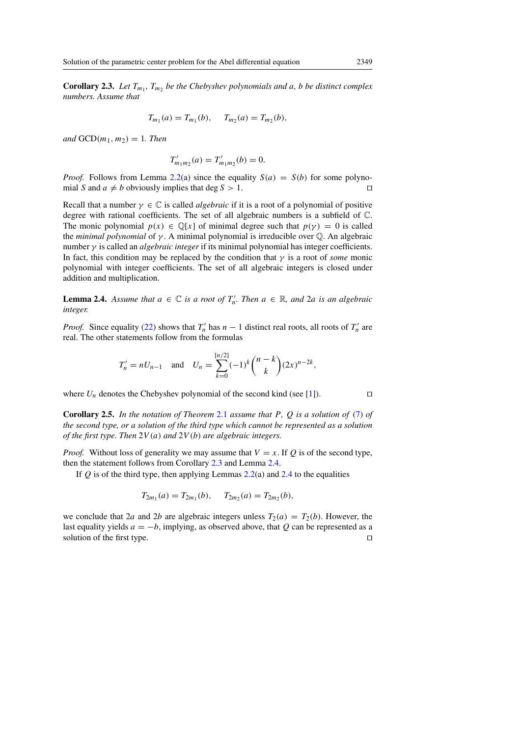**Corollary 2.3.** Let  $T_{m_1}$ ,  $T_{m_2}$  be the Chebyshev polynomials and a, b be distinct complex *numbers. Assume that*

$$
T_{m_1}(a) = T_{m_1}(b), \quad T_{m_2}(a) = T_{m_2}(b),
$$

*and*  $GCD(m_1, m_2) = 1$ *. Then* 

$$
T'_{m_1m_2}(a) = T'_{m_1m_2}(b) = 0.
$$

*Proof.* Follows from Lemma [2.2\(](#page-4-1)a) since the equality  $S(a) = S(b)$  for some polynomial S and  $a \neq b$  obviously implies that deg  $S > 1$ .

Recall that a number  $\gamma \in \mathbb{C}$  is called *algebraic* if it is a root of a polynomial of positive degree with rational coefficients. The set of all algebraic numbers is a subfield of C. The monic polynomial  $p(x) \in \mathbb{Q}[x]$  of minimal degree such that  $p(y) = 0$  is called the *minimal polynomial* of γ . A minimal polynomial is irreducible over Q. An algebraic number γ is called an *algebraic integer* if its minimal polynomial has integer coefficients. In fact, this condition may be replaced by the condition that  $\gamma$  is a root of *some* monic polynomial with integer coefficients. The set of all algebraic integers is closed under addition and multiplication.

<span id="page-6-1"></span>**Lemma 2.4.** Assume that  $a \in \mathbb{C}$  is a root of  $T'_n$ . Then  $a \in \mathbb{R}$ , and  $2a$  is an algebraic *integer.*

*Proof.* Since equality [\(22\)](#page-5-5) shows that  $T'_n$  has  $n-1$  distinct real roots, all roots of  $T'_n$  are real. The other statements follow from the formulas

$$
T'_n = nU_{n-1}
$$
 and  $U_n = \sum_{k=0}^{\lfloor n/2 \rfloor} (-1)^k {n-k \choose k} (2x)^{n-2k}$ ,

where  $U_n$  denotes the Chebyshev polynomial of the second kind (see [\[1\]](#page-25-9)).

<span id="page-6-0"></span>Corollary 2.5. *In the notation of Theorem* [2.1](#page-3-0) *assume that* P*,* Q *is a solution of* [\(7\)](#page-2-0) *of the second type, or a solution of the third type which cannot be represented as a solution of the first type. Then* 2V (a) *and* 2V (b) *are algebraic integers.*

*Proof.* Without loss of generality we may assume that  $V = x$ . If Q is of the second type, then the statement follows from Corollary [2.3](#page-5-6) and Lemma [2.4.](#page-6-1)

If  $Q$  is of the third type, then applying Lemmas [2.2\(](#page-4-1)a) and [2.4](#page-6-1) to the equalities

$$
T_{2m_1}(a) = T_{2m_1}(b), \quad T_{2m_2}(a) = T_{2m_2}(b),
$$

we conclude that 2a and 2b are algebraic integers unless  $T_2(a) = T_2(b)$ . However, the last equality yields  $a = -b$ , implying, as observed above, that Q can be represented as a solution of the first type.  $\Box$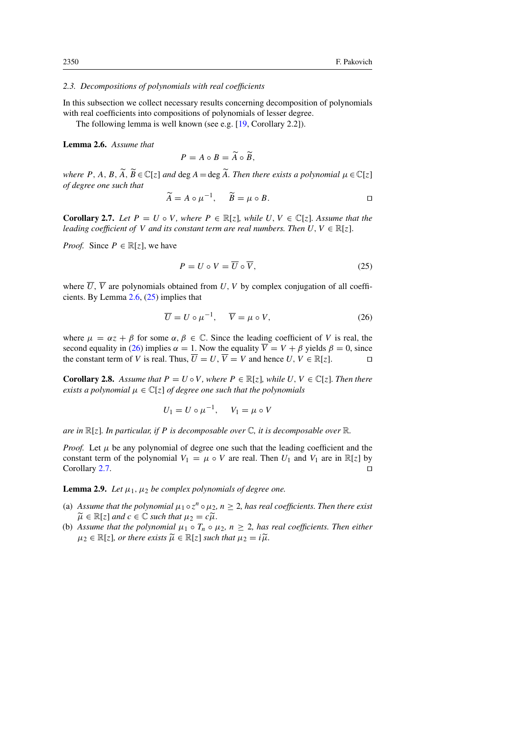## *2.3. Decompositions of polynomials with real coefficients*

In this subsection we collect necessary results concerning decomposition of polynomials with real coefficients into compositions of polynomials of lesser degree.

The following lemma is well known (see e.g. [\[19,](#page-26-8) Corollary 2.2]).

<span id="page-7-0"></span>Lemma 2.6. *Assume that*

$$
P = A \circ B = \widetilde{A} \circ \widetilde{B},
$$

*where* P, A, B,  $\widetilde{A}$ ,  $\widetilde{B} \in \mathbb{C}[z]$  *and* deg A = deg  $\widetilde{A}$ . Then there exists a polynomial  $\mu \in \mathbb{C}[z]$ *of degree one such that*

$$
\widetilde{A} = A \circ \mu^{-1}, \quad \widetilde{B} = \mu \circ B.
$$

<span id="page-7-3"></span>**Corollary 2.7.** Let  $P = U \circ V$ , where  $P \in \mathbb{R}[z]$ , while  $U, V \in \mathbb{C}[z]$ . Assume that the *leading coefficient of* V *and its constant term are real numbers. Then*  $U, V \in \mathbb{R}[z]$ .

*Proof.* Since  $P \in \mathbb{R}[\zeta]$ , we have

<span id="page-7-2"></span><span id="page-7-1"></span>
$$
P = U \circ V = \overline{U} \circ \overline{V},\tag{25}
$$

where  $\overline{U}$ ,  $\overline{V}$  are polynomials obtained from U, V by complex conjugation of all coefficients. By Lemma [2.6,](#page-7-0) [\(25\)](#page-7-1) implies that

$$
\overline{U} = U \circ \mu^{-1}, \quad \overline{V} = \mu \circ V, \tag{26}
$$

where  $\mu = \alpha z + \beta$  for some  $\alpha, \beta \in \mathbb{C}$ . Since the leading coefficient of V is real, the second equality in [\(26\)](#page-7-2) implies  $\alpha = 1$ . Now the equality  $\overline{V} = V + \beta$  yields  $\beta = 0$ , since the constant term of V is real. Thus,  $\overline{U} = U$ ,  $\overline{V} = V$  and hence  $U, V \in \mathbb{R}[z]$ .

<span id="page-7-4"></span>**Corollary 2.8.** Assume that  $P = U \circ V$ , where  $P \in \mathbb{R}[z]$ , while  $U, V \in \mathbb{C}[z]$ . Then there *exists a polynomial*  $\mu \in \mathbb{C}[z]$  *of degree one such that the polynomials* 

$$
U_1 = U \circ \mu^{-1}, \quad V_1 = \mu \circ V
$$

*are in* R[z]*. In particular, if* P *is decomposable over* C*, it is decomposable over* R*.*

*Proof.* Let  $\mu$  be any polynomial of degree one such that the leading coefficient and the constant term of the polynomial  $V_1 = \mu \circ V$  are real. Then  $U_1$  and  $V_1$  are in  $\mathbb{R}[z]$  by Corollary [2.7.](#page-7-3)  $\Box$ 

<span id="page-7-5"></span>**Lemma 2.9.** *Let*  $\mu_1$ ,  $\mu_2$  *be complex polynomials of degree one.* 

- (a) Assume that the polynomial  $\mu_1 \circ z^n \circ \mu_2$ ,  $n \geq 2$ , has real coefficients. Then there exist  $\widetilde{\mu} \in \mathbb{R}[z]$  *and*  $c \in \mathbb{C}$  *such that*  $\mu_2 = c\widetilde{\mu}$ .
- (b) Assume that the polynomial  $\mu_1 \circ T_n \circ \mu_2$ ,  $n > 2$ , has real coefficients. Then either  $\mu_2 \in \mathbb{R}[z]$ *, or there exists*  $\widetilde{\mu} \in \mathbb{R}[z]$  *such that*  $\mu_2 = i\widetilde{\mu}$ *.*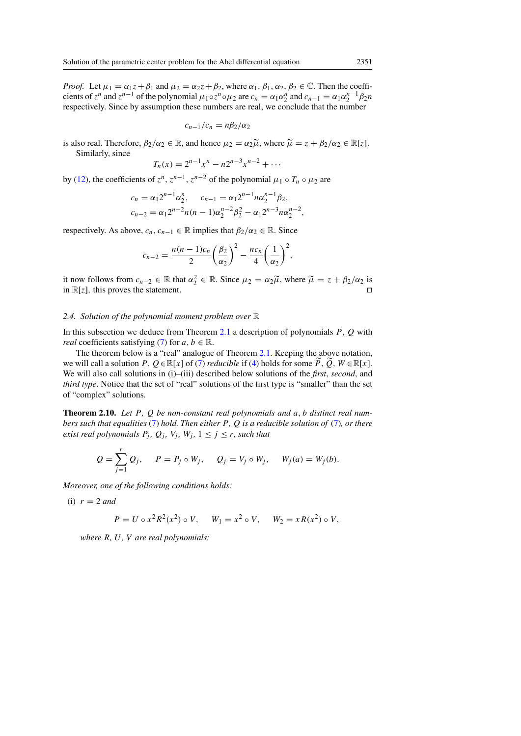*Proof.* Let  $\mu_1 = \alpha_1 z + \beta_1$  and  $\mu_2 = \alpha_2 z + \beta_2$ , where  $\alpha_1, \beta_1, \alpha_2, \beta_2 \in \mathbb{C}$ . Then the coefficients of  $z^n$  and  $z^{n-1}$  of the polynomial  $\mu_1 \circ z^n \circ \mu_2$  are  $c_n = \alpha_1 \alpha_2^n$  and  $c_{n-1} = \alpha_1 \alpha_2^{n-1} \beta_2 n$ respectively. Since by assumption these numbers are real, we conclude that the number

$$
c_{n-1}/c_n = n\beta_2/\alpha_2
$$

is also real. Therefore,  $\beta_2/\alpha_2 \in \mathbb{R}$ , and hence  $\mu_2 = \alpha_2 \tilde{\mu}$ , where  $\tilde{\mu} = z + \beta_2/\alpha_2 \in \mathbb{R}[z]$ . Similarly, since

$$
T_n(x) = 2^{n-1}x^n - n2^{n-3}x^{n-2} + \cdots
$$

by [\(12\)](#page-3-1), the coefficients of  $z^n$ ,  $z^{n-1}$ ,  $z^{n-2}$  of the polynomial  $\mu_1 \circ T_n \circ \mu_2$  are

$$
c_n = \alpha_1 2^{n-1} \alpha_2^n, \qquad c_{n-1} = \alpha_1 2^{n-1} n \alpha_2^{n-1} \beta_2,
$$
  

$$
c_{n-2} = \alpha_1 2^{n-2} n(n-1) \alpha_2^{n-2} \beta_2^2 - \alpha_1 2^{n-3} n \alpha_2^{n-2},
$$

respectively. As above,  $c_n$ ,  $c_{n-1} \in \mathbb{R}$  implies that  $\beta_2/\alpha_2 \in \mathbb{R}$ . Since

$$
c_{n-2} = \frac{n(n-1)c_n}{2} \left(\frac{\beta_2}{\alpha_2}\right)^2 - \frac{nc_n}{4} \left(\frac{1}{\alpha_2}\right)^2,
$$

it now follows from  $c_{n-2} \in \mathbb{R}$  that  $\alpha_2^2 \in \mathbb{R}$ . Since  $\mu_2 = \alpha_2 \tilde{\mu}$ , where  $\tilde{\mu} = z + \beta_2/\alpha_2$  is in  $\mathbb{R}[z]$ , this proves the statement in  $\mathbb{R}[z]$ , this proves the statement.

## *2.4. Solution of the polynomial moment problem over* R

In this subsection we deduce from Theorem [2.1](#page-3-0) a description of polynomials  $P$ ,  $Q$  with *real* coefficients satisfying [\(7\)](#page-2-0) for  $a, b \in \mathbb{R}$ .

The theorem below is a "real" analogue of Theorem [2.1.](#page-3-0) Keeping the above notation, we will call a solution P,  $Q \in \mathbb{R}[x]$  of [\(7\)](#page-2-0) *reducible* if [\(4\)](#page-1-0) holds for some  $\tilde{P}$ ,  $\tilde{Q}$ ,  $W \in \mathbb{R}[x]$ . We will also call solutions in (i)–(iii) described below solutions of the *first*, *second*, and *third type*. Notice that the set of "real" solutions of the first type is "smaller" than the set of "complex" solutions.

<span id="page-8-0"></span>Theorem 2.10. *Let* P*,* Q *be non-constant real polynomials and* a, b *distinct real numbers such that equalities* [\(7\)](#page-2-0) *hold. Then either* P*,* Q *is a reducible solution of* [\(7\)](#page-2-0)*, or there exist real polynomials*  $P_j$ *,*  $Q_j$ *,*  $V_j$ *,*  $W_j$ *,*  $1 \leq j \leq r$ *, such that* 

$$
Q = \sum_{j=1}^{r} Q_j
$$
,  $P = P_j \circ W_j$ ,  $Q_j = V_j \circ W_j$ ,  $W_j(a) = W_j(b)$ .

*Moreover, one of the following conditions holds:*

(i)  $r = 2$  *and* 

$$
P = U \circ x^2 R^2(x^2) \circ V, \quad W_1 = x^2 \circ V, \quad W_2 = x R(x^2) \circ V,
$$

*where* R*,* U*,* V *are real polynomials;*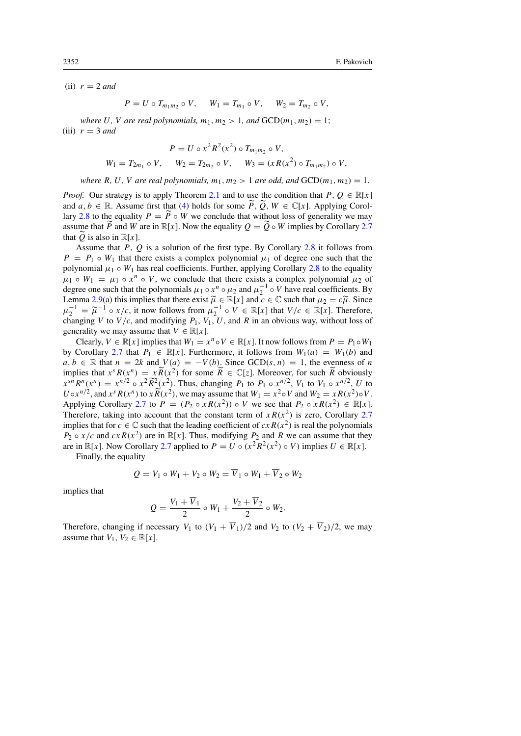(ii)  $r = 2$  *and* 

$$
P = U \circ T_{m_1 m_2} \circ V, \quad W_1 = T_{m_1} \circ V, \quad W_2 = T_{m_2} \circ V,
$$

*where* U, V *are real polynomials,*  $m_1, m_2 > 1$ *, and*  $GCD(m_1, m_2) = 1$ ; (iii)  $r = 3$  *and* 

$$
P = U \circ x^2 R^2(x^2) \circ T_{m_1 m_2} \circ V,
$$
  
\n
$$
W_1 = T_{2m_1} \circ V, \qquad W_2 = T_{2m_2} \circ V, \qquad W_3 = (x R(x^2) \circ T_{m_1 m_2}) \circ V,
$$

*where* R, U, V *are real polynomials,*  $m_1, m_2 > 1$  *are odd, and*  $GCD(m_1, m_2) = 1$ .

*Proof.* Our strategy is to apply Theorem [2.1](#page-3-0) and to use the condition that  $P, Q \in \mathbb{R}[x]$ and  $a, b \in \mathbb{R}$ . Assume first that [\(4\)](#page-1-0) holds for some  $\widetilde{P}$ ,  $\widetilde{Q}$ ,  $W \in \mathbb{C}[x]$ . Applying Corol-lary [2.8](#page-7-4) to the equality  $P = \tilde{P} \circ W$  we conclude that without loss of generality we may assume that  $\widetilde{P}$  and W are in  $\mathbb{R}[x]$ . Now the equality  $O = \widetilde{O} \circ W$  implies by Corollary [2.7](#page-7-3) that  $\widetilde{Q}$  is also in  $\mathbb{R}[x]$ .

Assume that P,  $\hat{O}$  is a solution of the first type. By Corollary [2.8](#page-7-4) it follows from  $P = P_1 \circ W_1$  that there exists a complex polynomial  $\mu_1$  of degree one such that the polynomial  $\mu_1 \circ W_1$  has real coefficients. Further, applying Corollary [2.8](#page-7-4) to the equality  $\mu_1 \circ W_1 = \mu_1 \circ x^n \circ V$ , we conclude that there exists a complex polynomial  $\mu_2$  of degree one such that the polynomials  $\mu_1 \circ x^n \circ \mu_2$  and  $\mu_2^{-1} \circ V$  have real coefficients. By Lemma [2.9\(](#page-7-5)a) this implies that there exist  $\widetilde{\mu} \in \mathbb{R}[x]$  and  $c \in \mathbb{C}$  such that  $\mu_2 = c\widetilde{\mu}$ . Since  $\mu_2^{-1} = \widetilde{\mu}^{-1} \circ x/c$ , it now follows from  $\mu_2^{-1} \circ V \in \mathbb{R}[x]$  that  $V/c \in \mathbb{R}[x]$ . Therefore, changing changing V to  $V/c$ , and modifying  $P_1$ ,  $V_1$ ,  $U$ , and R in an obvious way, without loss of generality we may assume that  $V \in \mathbb{R}[x]$ .

Clearly,  $V \in \mathbb{R}[x]$  implies that  $W_1 = x^n \circ V \in \mathbb{R}[x]$ . It now follows from  $P = P_1 \circ W_1$ by Corollary [2.7](#page-7-3) that  $P_1 \in \mathbb{R}[x]$ . Furthermore, it follows from  $W_1(a) = W_1(b)$  and  $a, b \in \mathbb{R}$  that  $n = 2k$  and  $V(a) = -V(b)$ . Since GCD(s, n) = 1, the evenness of n implies that  $x^s R(x^n) = x \widetilde{R}(x^2)$  for some  $\widetilde{R} \in \mathbb{C}[z]$ . Moreover, for such  $\widetilde{R}$  obviously  $x^{sn}R^n(x^n) = x^{n/2} \circ x^2 \widetilde{R}^2(x^2)$ . Thus, changing  $P_1$  to  $P_1 \circ x^{n/2}$ ,  $V_1$  to  $V_1 \circ x^{n/2}$ ,  $U$  to  $V_1 \circ x^{n/2}$ ,  $U_1 \circ x^{n/2}$  $U \circ x^{n/2}$ , and  $x^s R(x^n)$  to  $x \widetilde{R}(x^2)$ , we may assume that  $W_1 = x^2 \circ V$  and  $W_2 = x R(x^2) \circ V$ . Applying Corollary [2.7](#page-7-3) to  $P = (P_2 \circ xR(x^2)) \circ V$  we see that  $P_2 \circ xR(x^2) \in \mathbb{R}[x]$ . Therefore, taking into account that the constant term of  $x R(x^2)$  is zero, Corollary [2.7](#page-7-3) implies that for  $c \in \mathbb{C}$  such that the leading coefficient of  $cx R(x^2)$  is real the polynomials  $P_2 \circ x/c$  and  $cx R(x^2)$  are in  $\mathbb{R}[x]$ . Thus, modifying  $P_2$  and R we can assume that they are in  $\mathbb{R}[x]$ . Now Corollary [2.7](#page-7-3) applied to  $P = U \circ (x^2 R^2(x^2) \circ V)$  implies  $U \in \mathbb{R}[x]$ .

Finally, the equality

$$
Q = V_1 \circ W_1 + V_2 \circ W_2 = \overline{V}_1 \circ W_1 + \overline{V}_2 \circ W_2
$$

implies that

$$
Q = \frac{V_1 + \overline{V}_1}{2} \circ W_1 + \frac{V_2 + \overline{V}_2}{2} \circ W_2.
$$

Therefore, changing if necessary  $V_1$  to  $(V_1 + \overline{V}_1)/2$  and  $V_2$  to  $(V_2 + \overline{V}_2)/2$ , we may assume that  $V_1, V_2 \in \mathbb{R}[x]$ .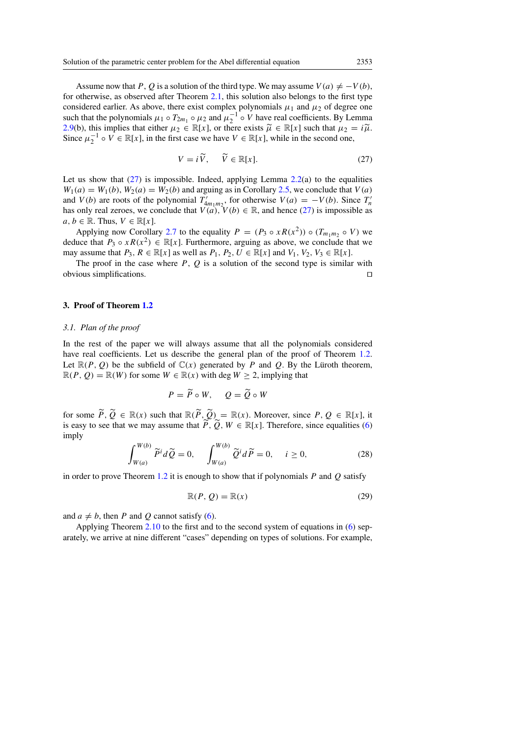Assume now that P, Q is a solution of the third type. We may assume  $V(a) \neq -V(b)$ , for otherwise, as observed after Theorem [2.1,](#page-3-0) this solution also belongs to the first type considered earlier. As above, there exist complex polynomials  $\mu_1$  and  $\mu_2$  of degree one such that the polynomials  $\mu_1 \circ T_{2m_1} \circ \mu_2$  and  $\mu_2^{-1} \circ V$  have real coefficients. By Lemma [2.9\(](#page-7-5)b), this implies that either  $\mu_2 \in \mathbb{R}[x]$ , or there exists  $\widetilde{\mu} \in \mathbb{R}[x]$  such that  $\mu_2 = i\widetilde{\mu}$ . Since  $\mu_2^{-1} \circ V \in \mathbb{R}[x]$ , in the first case we have  $V \in \mathbb{R}[x]$ , while in the second one,

<span id="page-10-0"></span>
$$
V = i\widetilde{V}, \quad \widetilde{V} \in \mathbb{R}[x]. \tag{27}
$$

Let us show that  $(27)$  is impossible. Indeed, applying Lemma [2.2\(](#page-4-1)a) to the equalities  $W_1(a) = W_1(b), W_2(a) = W_2(b)$  and arguing as in Corollary [2.5,](#page-6-0) we conclude that  $V(a)$ and  $V(b)$  are roots of the polynomial  $T'_{4m_1m_2}$ , for otherwise  $V(a) = -V(b)$ . Since  $T'_n$  has only real zeroes, we conclude that  $V(a)$ ,  $V(b) \in \mathbb{R}$ , and hence [\(27\)](#page-10-0) is impossible as  $a, b \in \mathbb{R}$ . Thus,  $V \in \mathbb{R}[x]$ .

Applying now Corollary [2.7](#page-7-3) to the equality  $P = (P_3 \circ xR(x^2)) \circ (T_{m_1m_2} \circ V)$  we deduce that  $P_3 \circ xR(x^2) \in \mathbb{R}[x]$ . Furthermore, arguing as above, we conclude that we may assume that  $P_3$ ,  $R \in \mathbb{R}[x]$  as well as  $P_1$ ,  $P_2$ ,  $U \in \mathbb{R}[x]$  and  $V_1$ ,  $V_2$ ,  $V_3 \in \mathbb{R}[x]$ .

The proof in the case where  $P$ ,  $Q$  is a solution of the second type is similar with  $\Box$ obvious simplifications.  $\Box$ 

#### 3. Proof of Theorem [1.2](#page-1-4)

#### *3.1. Plan of the proof*

In the rest of the paper we will always assume that all the polynomials considered have real coefficients. Let us describe the general plan of the proof of Theorem [1.2.](#page-1-4) Let  $\mathbb{R}(P, Q)$  be the subfield of  $\mathbb{C}(x)$  generated by P and Q. By the Luroth theorem,  $\mathbb{R}(P, Q) = \mathbb{R}(W)$  for some  $W \in \mathbb{R}(x)$  with deg  $W \geq 2$ , implying that

$$
P = \widetilde{P} \circ W, \quad Q = \widetilde{Q} \circ W
$$

for some  $\widetilde{P}, \widetilde{Q} \in \mathbb{R}(x)$  such that  $\mathbb{R}(\widetilde{P}, \widetilde{Q}) = \mathbb{R}(x)$ . Moreover, since  $P, Q \in \mathbb{R}[x]$ , it is easy to see that we may assume that  $\widetilde{P}, \widetilde{Q}, W \in \mathbb{R}[x]$ . Therefore, since equalities [\(6\)](#page-1-3) imply

$$
\int_{W(a)}^{W(b)} \widetilde{P}^i d\widetilde{Q} = 0, \quad \int_{W(a)}^{W(b)} \widetilde{Q}^i d\widetilde{P} = 0, \quad i \ge 0,
$$
\n(28)

in order to prove Theorem [1.2](#page-1-4) it is enough to show that if polynomials P and O satisfy

<span id="page-10-1"></span>
$$
\mathbb{R}(P, Q) = \mathbb{R}(x) \tag{29}
$$

and  $a \neq b$ , then P and Q cannot satisfy [\(6\)](#page-1-3).

Applying Theorem [2.10](#page-8-0) to the first and to the second system of equations in [\(6\)](#page-1-3) separately, we arrive at nine different "cases" depending on types of solutions. For example,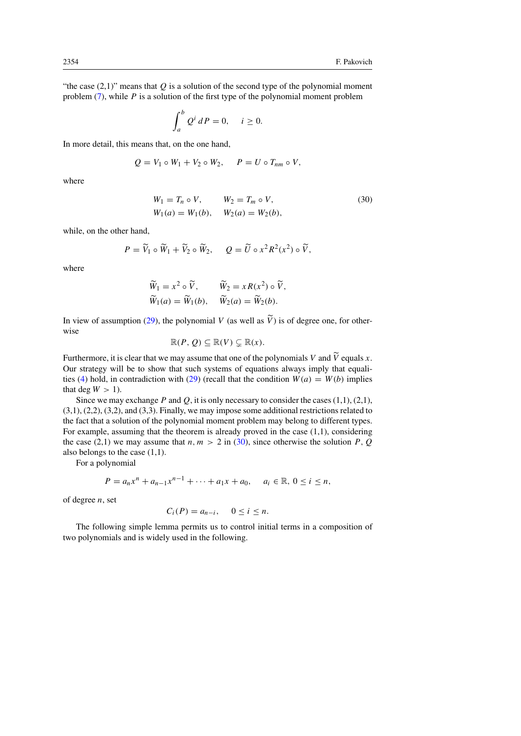"the case  $(2,1)$ " means that Q is a solution of the second type of the polynomial moment problem  $(7)$ , while P is a solution of the first type of the polynomial moment problem

<span id="page-11-0"></span>
$$
\int_a^b Q^i dP = 0, \quad i \ge 0.
$$

In more detail, this means that, on the one hand,

$$
Q = V_1 \circ W_1 + V_2 \circ W_2, \quad P = U \circ T_{nm} \circ V,
$$

where

$$
W_1 = T_n \circ V, \qquad W_2 = T_m \circ V,
$$
  
\n
$$
W_1(a) = W_1(b), \qquad W_2(a) = W_2(b),
$$
\n(30)

while, on the other hand,

$$
P = \widetilde{V}_1 \circ \widetilde{W}_1 + \widetilde{V}_2 \circ \widetilde{W}_2, \quad Q = \widetilde{U} \circ x^2 R^2(x^2) \circ \widetilde{V},
$$

where

$$
\widetilde{W}_1 = x^2 \circ \widetilde{V}, \qquad \widetilde{W}_2 = x R(x^2) \circ \widetilde{V}, \n\widetilde{W}_1(a) = \widetilde{W}_1(b), \qquad \widetilde{W}_2(a) = \widetilde{W}_2(b).
$$

In view of assumption [\(29\)](#page-10-1), the polynomial V (as well as  $\tilde{V}$ ) is of degree one, for otherwise

$$
\mathbb{R}(P, Q) \subseteq \mathbb{R}(V) \subsetneq \mathbb{R}(x).
$$

Furthermore, it is clear that we may assume that one of the polynomials V and  $\tilde{V}$  equals x. Our strategy will be to show that such systems of equations always imply that equali-ties [\(4\)](#page-1-0) hold, in contradiction with [\(29\)](#page-10-1) (recall that the condition  $W(a) = W(b)$  implies that deg  $W > 1$ ).

Since we may exchange P and Q, it is only necessary to consider the cases  $(1,1)$ ,  $(2,1)$ , (3,1), (2,2), (3,2), and (3,3). Finally, we may impose some additional restrictions related to the fact that a solution of the polynomial moment problem may belong to different types. For example, assuming that the theorem is already proved in the case (1,1), considering the case (2,1) we may assume that  $n, m > 2$  in [\(30\)](#page-11-0), since otherwise the solution P, Q also belongs to the case (1,1).

For a polynomial

$$
P = a_n x^n + a_{n-1} x^{n-1} + \dots + a_1 x + a_0, \quad a_i \in \mathbb{R}, \ 0 \le i \le n,
$$

of degree  $n$ , set

$$
C_i(P) = a_{n-i}, \quad 0 \le i \le n.
$$

<span id="page-11-1"></span>The following simple lemma permits us to control initial terms in a composition of two polynomials and is widely used in the following.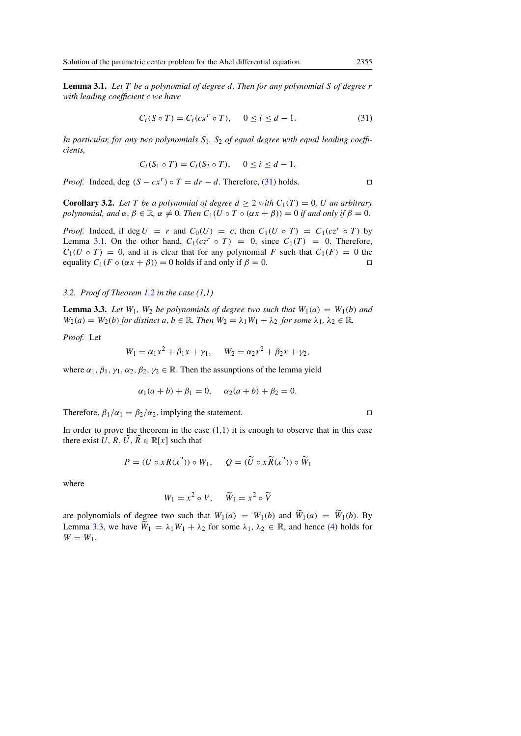Lemma 3.1. *Let* T *be a polynomial of degree* d*. Then for any polynomial* S *of degree* r *with leading coefficient* c *we have*

<span id="page-12-0"></span>
$$
C_i(S \circ T) = C_i(cx^r \circ T), \quad 0 \le i \le d - 1. \tag{31}
$$

In particular, for any two polynomials S<sub>1</sub>, S<sub>2</sub> of equal degree with equal leading coeffi*cients,*

$$
C_i(S_1 \circ T) = C_i(S_2 \circ T), \quad 0 \le i \le d - 1.
$$

*Proof.* Indeed, deg  $(S - cx^r)$  o  $T = dr - d$ . Therefore, [\(31\)](#page-12-0) holds. □

<span id="page-12-2"></span>**Corollary 3.2.** Let T be a polynomial of degree  $d \geq 2$  with  $C_1(T) = 0$ , U an arbitrary *polynomial, and*  $\alpha, \beta \in \mathbb{R}$ ,  $\alpha \neq 0$ *. Then*  $C_1(U \circ T \circ (\alpha x + \beta)) = 0$  *if and only if*  $\beta = 0$ *.* 

*Proof.* Indeed, if deg  $U = r$  and  $C_0(U) = c$ , then  $C_1(U \circ T) = C_1(cz^r \circ T)$  by Lemma [3.1.](#page-11-1) On the other hand,  $C_1(cz^r \circ T) = 0$ , since  $C_1(T) = 0$ . Therefore,  $C_1(U \circ T) = 0$ , and it is clear that for any polynomial F such that  $C_1(F) = 0$  the equality  $C_1(F \circ (\alpha x + \beta)) = 0$  holds if and only if  $\beta = 0$ .

# *3.2. Proof of Theorem [1.2](#page-1-4) in the case (1,1)*

<span id="page-12-1"></span>**Lemma 3.3.** Let  $W_1$ ,  $W_2$  be polynomials of degree two such that  $W_1(a) = W_1(b)$  and  $W_2(a) = W_2(b)$  *for distinct*  $a, b \in \mathbb{R}$ *. Then*  $W_2 = \lambda_1 W_1 + \lambda_2$  *for some*  $\lambda_1, \lambda_2 \in \mathbb{R}$ *.* 

*Proof.* Let

$$
W_1 = \alpha_1 x^2 + \beta_1 x + \gamma_1, \quad W_2 = \alpha_2 x^2 + \beta_2 x + \gamma_2,
$$

where  $\alpha_1$ ,  $\beta_1$ ,  $\gamma_1$ ,  $\alpha_2$ ,  $\beta_2$ ,  $\gamma_2 \in \mathbb{R}$ . Then the assunptions of the lemma yield

$$
\alpha_1(a + b) + \beta_1 = 0
$$
,  $\alpha_2(a + b) + \beta_2 = 0$ .

Therefore,  $\beta_1/\alpha_1 = \beta_2/\alpha_2$ , implying the statement.

In order to prove the theorem in the case  $(1,1)$  it is enough to observe that in this case there exist U, R, U, R  $\in \mathbb{R}[x]$  such that

$$
P = (U \circ xR(x^2)) \circ W_1, \quad Q = (\widetilde{U} \circ x\widetilde{R}(x^2)) \circ \widetilde{W}_1
$$

where

$$
W_1 = x^2 \circ V, \quad \widetilde{W}_1 = x^2 \circ \widetilde{V}
$$

are polynomials of degree two such that  $W_1(a) = W_1(b)$  and  $\widetilde{W}_1(a) = \widetilde{W}_1(b)$ . By Lemma [3.3,](#page-12-1) we have  $\widetilde{W}_1 = \lambda_1 W_1 + \lambda_2$  for some  $\lambda_1, \lambda_2 \in \mathbb{R}$ , and hence [\(4\)](#page-1-0) holds for  $W = W_1$ .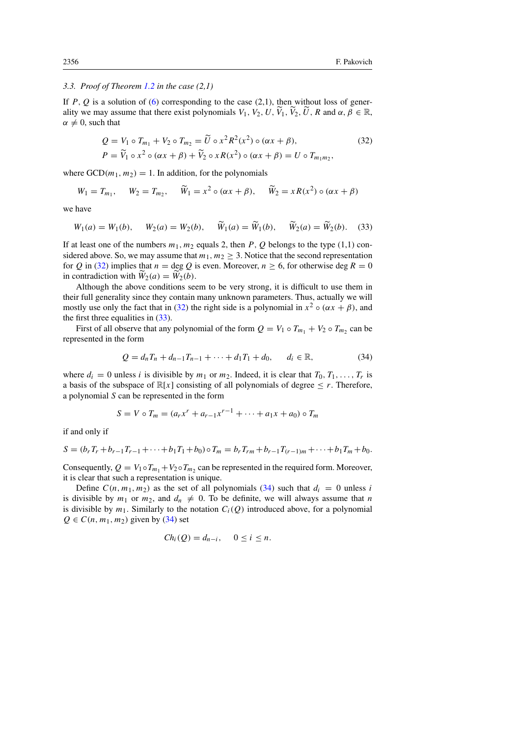## *3.3. Proof of Theorem [1.2](#page-1-4) in the case (2,1)*

If  $P$ ,  $Q$  is a solution of [\(6\)](#page-1-3) corresponding to the case (2,1), then without loss of generality we may assume that there exist polynomials  $V_1$ ,  $V_2$ ,  $U$ ,  $\widetilde{V}_1$ ,  $\widetilde{V}_2$ ,  $\widetilde{U}$ , R and  $\alpha$ ,  $\beta \in \mathbb{R}$ ,  $\alpha \neq 0$ , such that

<span id="page-13-0"></span>
$$
Q = V_1 \circ T_{m_1} + V_2 \circ T_{m_2} = \widetilde{U} \circ x^2 R^2(x^2) \circ (\alpha x + \beta),
$$
  
\n
$$
P = \widetilde{V}_1 \circ x^2 \circ (\alpha x + \beta) + \widetilde{V}_2 \circ x R(x^2) \circ (\alpha x + \beta) = U \circ T_{m_1 m_2},
$$
\n(32)

where  $GCD(m_1, m_2) = 1$ . In addition, for the polynomials

<span id="page-13-1"></span>
$$
W_1 = T_{m_1}, \quad W_2 = T_{m_2}, \quad \widetilde{W}_1 = x^2 \circ (\alpha x + \beta), \quad \widetilde{W}_2 = xR(x^2) \circ (\alpha x + \beta)
$$

we have

$$
W_1(a) = W_1(b)
$$
,  $W_2(a) = W_2(b)$ ,  $W_1(a) = W_1(b)$ ,  $W_2(a) = W_2(b)$ . (33)

If at least one of the numbers  $m_1$ ,  $m_2$  equals 2, then P, O belongs to the type (1,1) considered above. So, we may assume that  $m_1, m_2 \geq 3$ . Notice that the second representation for Q in [\(32\)](#page-13-0) implies that  $n = \deg Q$  is even. Moreover,  $n \ge 6$ , for otherwise deg  $R = 0$ in contradiction with  $\overline{W}_2(a) = \overline{W}_2(b)$ .

Although the above conditions seem to be very strong, it is difficult to use them in their full generality since they contain many unknown parameters. Thus, actually we will mostly use only the fact that in [\(32\)](#page-13-0) the right side is a polynomial in  $x^2 \circ (\alpha x + \beta)$ , and the first three equalities in [\(33\)](#page-13-1).

First of all observe that any polynomial of the form  $Q = V_1 \circ T_{m_1} + V_2 \circ T_{m_2}$  can be represented in the form

<span id="page-13-2"></span>
$$
Q = d_n T_n + d_{n-1} T_{n-1} + \dots + d_1 T_1 + d_0, \qquad d_i \in \mathbb{R},
$$
\n(34)

where  $d_i = 0$  unless i is divisible by  $m_1$  or  $m_2$ . Indeed, it is clear that  $T_0, T_1, \ldots, T_r$  is a basis of the subspace of  $\mathbb{R}[x]$  consisting of all polynomials of degree  $\leq r$ . Therefore, a polynomial S can be represented in the form

$$
S = V \circ T_m = (a_r x^r + a_{r-1} x^{r-1} + \dots + a_1 x + a_0) \circ T_m
$$

if and only if

$$
S = (b_r T_r + b_{r-1} T_{r-1} + \cdots + b_1 T_1 + b_0) \circ T_m = b_r T_{rm} + b_{r-1} T_{(r-1)m} + \cdots + b_1 T_m + b_0.
$$

Consequently,  $Q = V_1 \circ T_{m_1} + V_2 \circ T_{m_2}$  can be represented in the required form. Moreover, it is clear that such a representation is unique.

<span id="page-13-3"></span>Define  $C(n, m_1, m_2)$  as the set of all polynomials [\(34\)](#page-13-2) such that  $d_i = 0$  unless i is divisible by  $m_1$  or  $m_2$ , and  $d_n \neq 0$ . To be definite, we will always assume that n is divisible by  $m_1$ . Similarly to the notation  $C_i(Q)$  introduced above, for a polynomial  $Q \in C(n, m_1, m_2)$  given by [\(34\)](#page-13-2) set

$$
Ch_i(Q)=d_{n-i}, \quad 0\leq i\leq n.
$$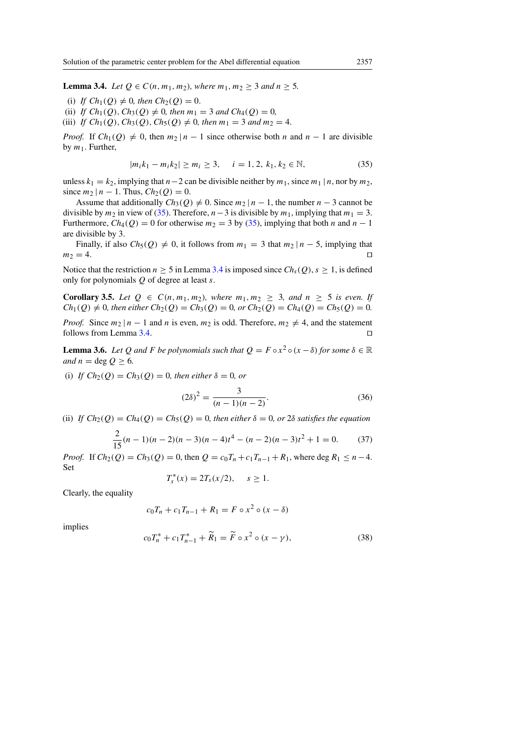**Lemma 3.4.** *Let*  $Q \in C(n, m_1, m_2)$ *, where*  $m_1, m_2 \geq 3$  *and*  $n \geq 5$ *.* 

- (i) *If*  $Ch_1(Q) \neq 0$ , then  $Ch_2(Q) = 0$ .
- (ii) *If*  $Ch_1(Q), Ch_3(Q) \neq 0$ , then  $m_1 = 3$  and  $Ch_4(Q) = 0$ ,
- (iii) *If*  $Ch_1(Q)$ ,  $Ch_3(Q)$ ,  $Ch_5(Q) \neq 0$ , then  $m_1 = 3$  and  $m_2 = 4$ .

*Proof.* If  $Ch_1(Q) \neq 0$ , then  $m_2 | n - 1$  since otherwise both n and  $n - 1$  are divisible by  $m_1$ . Further,

<span id="page-14-0"></span>
$$
|m_i k_1 - m_i k_2| \ge m_i \ge 3, \quad i = 1, 2, k_1, k_2 \in \mathbb{N}, \tag{35}
$$

unless  $k_1 = k_2$ , implying that  $n-2$  can be divisible neither by  $m_1$ , since  $m_1 | n$ , nor by  $m_2$ , since  $m_2 | n - 1$ . Thus,  $Ch_2(Q) = 0$ .

Assume that additionally  $Ch_3(Q) \neq 0$ . Since  $m_2 | n - 1$ , the number  $n - 3$  cannot be divisible by  $m_2$  in view of [\(35\)](#page-14-0). Therefore,  $n-3$  is divisible by  $m_1$ , implying that  $m_1 = 3$ . Furthermore,  $Ch_4(Q) = 0$  for otherwise  $m_2 = 3$  by [\(35\)](#page-14-0), implying that both n and  $n - 1$ are divisible by 3.

Finally, if also  $Ch_5(Q) \neq 0$ , it follows from  $m_1 = 3$  that  $m_2 | n - 5$ , implying that  $m_2 = 4.$ 

Notice that the restriction  $n \ge 5$  in Lemma [3.4](#page-13-3) is imposed since  $Ch_s(Q)$ ,  $s \ge 1$ , is defined only for polynomials  $Q$  of degree at least  $s$ .

<span id="page-14-4"></span>**Corollary 3.5.** *Let*  $Q \in C(n, m_1, m_2)$ *, where*  $m_1, m_2 \geq 3$ *, and*  $n \geq 5$  *is even. If*  $Ch_1(Q) \neq 0$ , then either  $Ch_2(Q) = Ch_3(Q) = 0$ , or  $Ch_2(Q) = Ch_4(Q) = Ch_5(Q) = 0$ .

*Proof.* Since  $m_2 | n - 1$  and n is even,  $m_2$  is odd. Therefore,  $m_2 \neq 4$ , and the statement follows from Lemma [3.4.](#page-13-3)  $\Box$ 

<span id="page-14-5"></span>**Lemma 3.6.** Let Q and F be polynomials such that  $Q = F \circ x^2 \circ (x - \delta)$  for some  $\delta \in \mathbb{R}$ *and*  $n = \text{deg } Q \geq 6$ *.* 

(i) *If*  $Ch_2(Q) = Ch_3(Q) = 0$ *, then either*  $\delta = 0$ *, or* 

<span id="page-14-3"></span><span id="page-14-2"></span>
$$
(2\delta)^2 = \frac{3}{(n-1)(n-2)}.\t(36)
$$

(ii) *If*  $Ch_2(Q) = Ch_4(Q) = Ch_5(Q) = 0$ , then either  $\delta = 0$ , or  $2\delta$  satisfies the equation

$$
\frac{2}{15}(n-1)(n-2)(n-3)(n-4)t^4 - (n-2)(n-3)t^2 + 1 = 0.
$$
 (37)

*Proof.* If  $Ch_2(Q) = Ch_3(Q) = 0$ , then  $Q = c_0T_n + c_1T_{n-1} + R_1$ , where deg  $R_1 \leq n-4$ . Set

$$
T_s^*(x) = 2T_s(x/2), \quad s \ge 1.
$$

Clearly, the equality

$$
c_0 T_n + c_1 T_{n-1} + R_1 = F \circ x^2 \circ (x - \delta)
$$

<span id="page-14-1"></span>implies

$$
c_0 T_n^* + c_1 T_{n-1}^* + \widetilde{R}_1 = \widetilde{F} \circ x^2 \circ (x - \gamma), \tag{38}
$$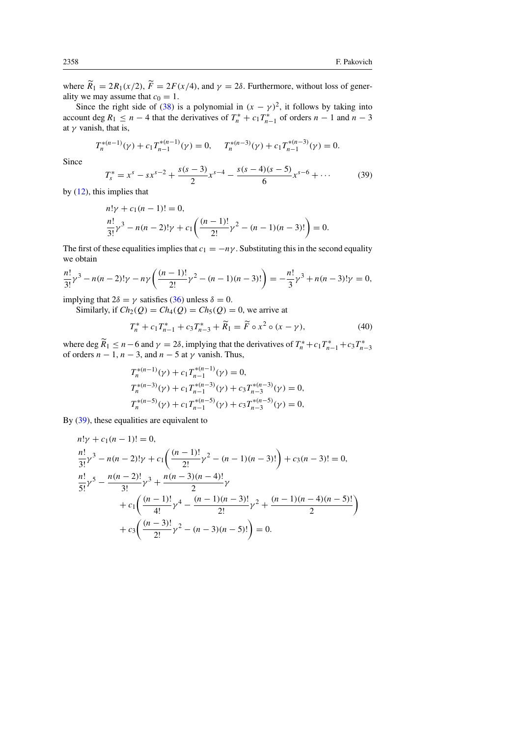where  $\widetilde{R}_1 = 2R_1(x/2)$ ,  $\widetilde{F} = 2F(x/4)$ , and  $\gamma = 2\delta$ . Furthermore, without loss of generality we may assume that  $c_0 = 1$ .

Since the right side of [\(38\)](#page-14-1) is a polynomial in  $(x - \gamma)^2$ , it follows by taking into account deg  $R_1 \le n - 4$  that the derivatives of  $T_n^* + c_1 T_{n-1}^*$  of orders  $n - 1$  and  $n - 3$ at  $\gamma$  vanish, that is,

<span id="page-15-0"></span>
$$
T_n^{*(n-1)}(\gamma) + c_1 T_{n-1}^{*(n-1)}(\gamma) = 0, \quad T_n^{*(n-3)}(\gamma) + c_1 T_{n-1}^{*(n-3)}(\gamma) = 0.
$$

Since

$$
T_s^* = x^s - sx^{s-2} + \frac{s(s-3)}{2}x^{s-4} - \frac{s(s-4)(s-5)}{6}x^{s-6} + \cdots
$$
 (39)

by [\(12\)](#page-3-1), this implies that

$$
n!\gamma + c_1(n-1)! = 0,
$$
  
\n
$$
\frac{n!}{3!}\gamma^3 - n(n-2)!\gamma + c_1\left(\frac{(n-1)!}{2!}\gamma^2 - (n-1)(n-3)!\right) = 0.
$$

The first of these equalities implies that  $c_1 = -n\gamma$ . Substituting this in the second equality we obtain

$$
\frac{n!}{3!}\gamma^3 - n(n-2)!\gamma - n\gamma \left(\frac{(n-1)!}{2!}\gamma^2 - (n-1)(n-3)!\right) = -\frac{n!}{3}\gamma^3 + n(n-3)!\gamma = 0,
$$

implying that  $2\delta = \gamma$  satisfies [\(36\)](#page-14-2) unless  $\delta = 0$ .

Similarly, if  $Ch_2(Q) = Ch_4(Q) = Ch_5(Q) = 0$ , we arrive at

$$
T_n^* + c_1 T_{n-1}^* + c_3 T_{n-3}^* + \widetilde{R}_1 = \widetilde{F} \circ x^2 \circ (x - \gamma), \tag{40}
$$

where deg  $\widetilde{R}_1 \le n - 6$  and  $\gamma = 2\delta$ , implying that the derivatives of  $T_n^* + c_1 T_{n-1}^* + c_3 T_{n-3}^*$  of orders  $n - 1$ ,  $n - 3$ , and  $n - 5$  at  $\gamma$  vanish. Thus,

$$
T_n^{*(n-1)}(\gamma) + c_1 T_{n-1}^{*(n-1)}(\gamma) = 0,
$$
  
\n
$$
T_n^{*(n-3)}(\gamma) + c_1 T_{n-1}^{*(n-3)}(\gamma) + c_3 T_{n-3}^{*(n-3)}(\gamma) = 0,
$$
  
\n
$$
T_n^{*(n-5)}(\gamma) + c_1 T_{n-1}^{*(n-5)}(\gamma) + c_3 T_{n-3}^{*(n-5)}(\gamma) = 0,
$$

By [\(39\)](#page-15-0), these equalities are equivalent to

$$
n!\gamma + c_1(n-1)! = 0,
$$
  
\n
$$
\frac{n!}{3!}\gamma^3 - n(n-2)!\gamma + c_1\left(\frac{(n-1)!}{2!}\gamma^2 - (n-1)(n-3)!\right) + c_3(n-3)! = 0,
$$
  
\n
$$
\frac{n!}{5!}\gamma^5 - \frac{n(n-2)!}{3!}\gamma^3 + \frac{n(n-3)(n-4)!}{2}\gamma
$$
  
\n
$$
+ c_1\left(\frac{(n-1)!}{4!}\gamma^4 - \frac{(n-1)(n-3)!}{2!}\gamma^2 + \frac{(n-1)(n-4)(n-5)!}{2}\right)
$$
  
\n
$$
+ c_3\left(\frac{(n-3)!}{2!}\gamma^2 - (n-3)(n-5)!\right) = 0.
$$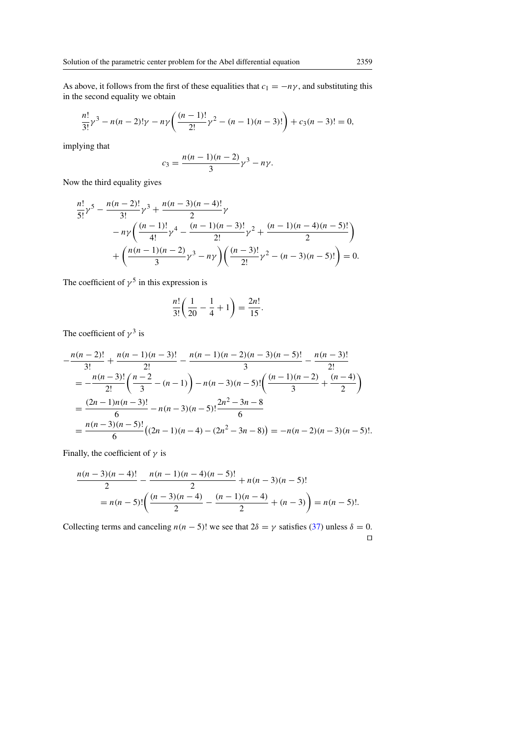As above, it follows from the first of these equalities that  $c_1 = -n\gamma$ , and substituting this in the second equality we obtain

$$
\frac{n!}{3!}\gamma^3 - n(n-2)!\gamma - n\gamma \left(\frac{(n-1)!}{2!}\gamma^2 - (n-1)(n-3)!\right) + c_3(n-3)! = 0,
$$

implying that

$$
c_3=\frac{n(n-1)(n-2)}{3}\gamma^3-n\gamma.
$$

Now the third equality gives

$$
\frac{n!}{5!} \gamma^5 - \frac{n(n-2)!}{3!} \gamma^3 + \frac{n(n-3)(n-4)!}{2} \gamma
$$
  
-  $n \gamma \left( \frac{(n-1)!}{4!} \gamma^4 - \frac{(n-1)(n-3)!}{2!} \gamma^2 + \frac{(n-1)(n-4)(n-5)!}{2} \right)$   
+  $\left( \frac{n(n-1)(n-2)}{3} \gamma^3 - n \gamma \right) \left( \frac{(n-3)!}{2!} \gamma^2 - (n-3)(n-5)! \right) = 0.$ 

The coefficient of  $\gamma^5$  in this expression is

$$
\frac{n!}{3!} \left( \frac{1}{20} - \frac{1}{4} + 1 \right) = \frac{2n!}{15}.
$$

The coefficient of  $\gamma^3$  is

$$
-\frac{n(n-2)!}{3!} + \frac{n(n-1)(n-3)!}{2!} - \frac{n(n-1)(n-2)(n-3)(n-5)!}{3} - \frac{n(n-3)!}{2!}
$$
  
=  $-\frac{n(n-3)!}{2!} \left(\frac{n-2}{3} - (n-1)\right) - n(n-3)(n-5)! \left(\frac{(n-1)(n-2)}{3} + \frac{(n-4)}{2}\right)$   
=  $\frac{(2n-1)n(n-3)!}{6} - n(n-3)(n-5)! \frac{2n^2 - 3n - 8}{6}$   
=  $\frac{n(n-3)(n-5)!}{6} ((2n-1)(n-4) - (2n^2 - 3n - 8)) = -n(n-2)(n-3)(n-5)!$ 

Finally, the coefficient of  $\gamma$  is

$$
\frac{n(n-3)(n-4)!}{2} - \frac{n(n-1)(n-4)(n-5)!}{2} + n(n-3)(n-5)!
$$
  
=  $n(n-5)!\left(\frac{(n-3)(n-4)}{2} - \frac{(n-1)(n-4)}{2} + (n-3)\right) = n(n-5)!$ 

Collecting terms and canceling  $n(n - 5)!$  we see that  $2\delta = \gamma$  satisfies [\(37\)](#page-14-3) unless  $\delta = 0$ .  $\Box$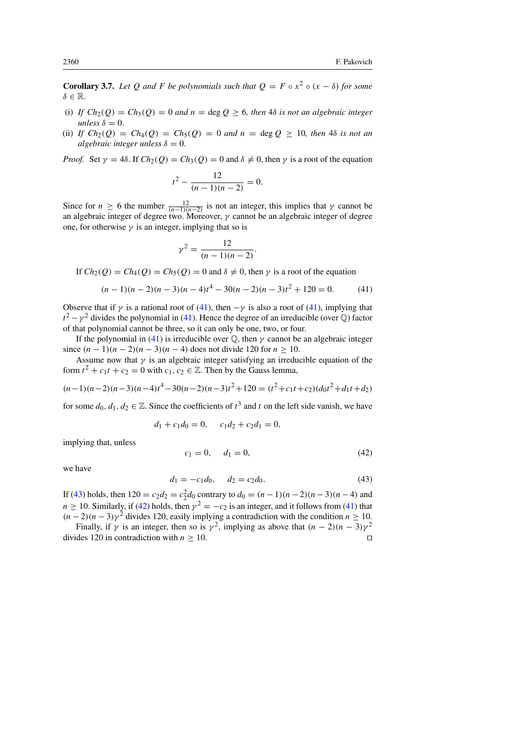<span id="page-17-3"></span>**Corollary 3.7.** Let Q and F be polynomials such that  $Q = F \circ x^2 \circ (x - \delta)$  for some  $\delta \in \mathbb{R}$ .

- (i) If  $Ch_2(Q) = Ch_3(Q) = 0$  and  $n = \text{deg } Q \geq 6$ , then 4 $\delta$  *is not an algebraic integer unless*  $\delta = 0$ .
- (ii) *If*  $Ch_2(Q) = Ch_4(Q) = Ch_5(Q) = 0$  *and*  $n = \text{deg } Q \ge 10$ *, then* 4*δ is not an algebraic integer unless*  $\delta = 0$ .

*Proof.* Set  $\gamma = 4\delta$ . If  $Ch_2(Q) = Ch_3(Q) = 0$  and  $\delta \neq 0$ , then  $\gamma$  is a root of the equation

$$
t^2 - \frac{12}{(n-1)(n-2)} = 0.
$$

Since for  $n \ge 6$  the number  $\frac{12}{(n-1)(n-2)}$  is not an integer, this implies that  $\gamma$  cannot be an algebraic integer of degree two. Moreover,  $\gamma$  cannot be an algebraic integer of degree one, for otherwise  $\gamma$  is an integer, implying that so is

<span id="page-17-0"></span>
$$
r^2 = \frac{12}{(n-1)(n-2)}.
$$

If  $Ch_2(Q) = Ch_4(Q) = Ch_5(Q) = 0$  and  $\delta \neq 0$ , then  $\gamma$  is a root of the equation

γ

$$
(n-1)(n-2)(n-3)(n-4)t4 - 30(n-2)(n-3)t2 + 120 = 0.
$$
 (41)

Observe that if  $\gamma$  is a rational root of [\(41\)](#page-17-0), then  $-\gamma$  is also a root of (41), implying that  $t^2 - \gamma^2$  divides the polynomial in [\(41\)](#page-17-0). Hence the degree of an irreducible (over  $\mathbb{Q}$ ) factor of that polynomial cannot be three, so it can only be one, two, or four.

If the polynomial in [\(41\)](#page-17-0) is irreducible over  $\mathbb Q$ , then  $\gamma$  cannot be an algebraic integer since  $(n - 1)(n - 2)(n - 3)(n - 4)$  does not divide 120 for  $n > 10$ .

Assume now that  $\gamma$  is an algebraic integer satisfying an irreducible equation of the form  $t^2 + c_1 t + c_2 = 0$  with  $c_1, c_2 \in \mathbb{Z}$ . Then by the Gauss lemma,

$$
(n-1)(n-2)(n-3)(n-4)t4 - 30(n-2)(n-3)t2 + 120 = (t2 + c1t + c2)(d0t2 + d1t + d2)
$$

for some  $d_0, d_1, d_2 \in \mathbb{Z}$ . Since the coefficients of  $t^3$  and t on the left side vanish, we have

<span id="page-17-2"></span>
$$
d_1 + c_1 d_0 = 0, \quad c_1 d_2 + c_2 d_1 = 0,
$$

implying that, unless

$$
c_1 = 0, \quad d_1 = 0,\tag{42}
$$

<span id="page-17-1"></span>we have

$$
d_1 = -c_1 d_0, \qquad d_2 = c_2 d_0. \tag{43}
$$

If [\(43\)](#page-17-1) holds, then  $120 = c_2 d_2 = c_2^2 d_0$  contrary to  $d_0 = (n - 1)(n - 2)(n - 3)(n - 4)$  and  $n \geq 10$ . Similarly, if [\(42\)](#page-17-2) holds, then  $\gamma^2 = -c_2$  is an integer, and it follows from [\(41\)](#page-17-0) that  $(n-2)(n-3)\gamma^2$  divides 120, easily implying a contradiction with the condition  $n \ge 10$ .

Finally, if  $\gamma$  is an integer, then so is  $\gamma^2$ , implying as above that  $(n-2)(n-3)\gamma^2$ divides 120 in contradiction with  $n \ge 10$ . □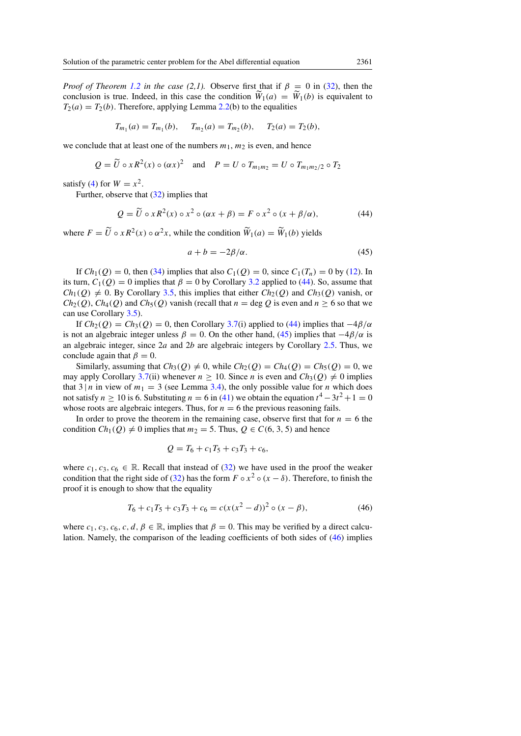*Proof of Theorem [1.2](#page-1-4) in the case (2,1).* Observe first that if  $\beta = 0$  in [\(32\)](#page-13-0), then the conclusion is true. Indeed, in this case the condition  $\widetilde{W}_1(a) = \widetilde{W}_1(b)$  is equivalent to  $T_2(a) = T_2(b)$ . Therefore, applying Lemma [2.2\(](#page-4-1)b) to the equalities

$$
T_{m_1}(a) = T_{m_1}(b), \quad T_{m_2}(a) = T_{m_2}(b), \quad T_2(a) = T_2(b),
$$

we conclude that at least one of the numbers  $m_1$ ,  $m_2$  is even, and hence

$$
Q = \widetilde{U} \circ x R^2(x) \circ (\alpha x)^2 \quad \text{and} \quad P = U \circ T_{m_1 m_2} = U \circ T_{m_1 m_2/2} \circ T_2
$$

satisfy [\(4\)](#page-1-0) for  $W = x^2$ .

Further, observe that [\(32\)](#page-13-0) implies that

$$
Q = \widetilde{U} \circ xR^2(x) \circ x^2 \circ (\alpha x + \beta) = F \circ x^2 \circ (x + \beta/\alpha), \tag{44}
$$

where  $F = \tilde{U} \circ x R^2(x) \circ \alpha^2 x$ , while the condition  $\tilde{W}_1(a) = \tilde{W}_1(b)$  yields

<span id="page-18-1"></span><span id="page-18-0"></span>
$$
a + b = -2\beta/\alpha.
$$
 (45)

If  $Ch_1(Q) = 0$ , then [\(34\)](#page-13-2) implies that also  $C_1(Q) = 0$ , since  $C_1(T_n) = 0$  by [\(12\)](#page-3-1). In its turn,  $C_1(Q) = 0$  implies that  $\beta = 0$  by Corollary [3.2](#page-12-2) applied to [\(44\)](#page-18-0). So, assume that  $Ch_1(Q) \neq 0$ . By Corollary [3.5,](#page-14-4) this implies that either  $Ch_2(Q)$  and  $Ch_3(Q)$  vanish, or  $Ch_2(Q)$ ,  $Ch_4(Q)$  and  $Ch_5(Q)$  vanish (recall that  $n = \deg Q$  is even and  $n \ge 6$  so that we can use Corollary [3.5\)](#page-14-4).

If  $Ch_2(Q) = Ch_3(Q) = 0$ , then Corollary [3.7\(](#page-17-3)i) applied to [\(44\)](#page-18-0) implies that  $-4\beta/\alpha$ is not an algebraic integer unless  $\beta = 0$ . On the other hand, [\(45\)](#page-18-1) implies that  $-4\beta/\alpha$  is an algebraic integer, since  $2a$  and  $2b$  are algebraic integers by Corollary [2.5.](#page-6-0) Thus, we conclude again that  $\beta = 0$ .

Similarly, assuming that  $Ch_3(Q) \neq 0$ , while  $Ch_2(Q) = Ch_4(Q) = Ch_5(Q) = 0$ , we may apply Corollary [3.7\(](#page-17-3)ii) whenever  $n \ge 10$ . Since *n* is even and  $Ch_3(Q) \ne 0$  implies that  $3 | n$  in view of  $m_1 = 3$  (see Lemma [3.4\)](#page-13-3), the only possible value for n which does not satisfy  $n \ge 10$  is 6. Substituting  $n = 6$  in [\(41\)](#page-17-0) we obtain the equation  $t^4 - 3t^2 + 1 = 0$ whose roots are algebraic integers. Thus, for  $n = 6$  the previous reasoning fails.

In order to prove the theorem in the remaining case, observe first that for  $n = 6$  the condition  $Ch_1(Q) \neq 0$  implies that  $m_2 = 5$ . Thus,  $Q \in C(6, 3, 5)$  and hence

<span id="page-18-2"></span>
$$
Q = T_6 + c_1 T_5 + c_3 T_3 + c_6,
$$

where  $c_1, c_3, c_6 \in \mathbb{R}$ . Recall that instead of [\(32\)](#page-13-0) we have used in the proof the weaker condition that the right side of [\(32\)](#page-13-0) has the form  $F \circ x^2 \circ (x - \delta)$ . Therefore, to finish the proof it is enough to show that the equality

$$
T_6 + c_1 T_5 + c_3 T_3 + c_6 = c(x(x^2 - d))^2 \circ (x - \beta),
$$
\n(46)

where  $c_1, c_3, c_6, c, d, \beta \in \mathbb{R}$ , implies that  $\beta = 0$ . This may be verified by a direct calculation. Namely, the comparison of the leading coefficients of both sides of [\(46\)](#page-18-2) implies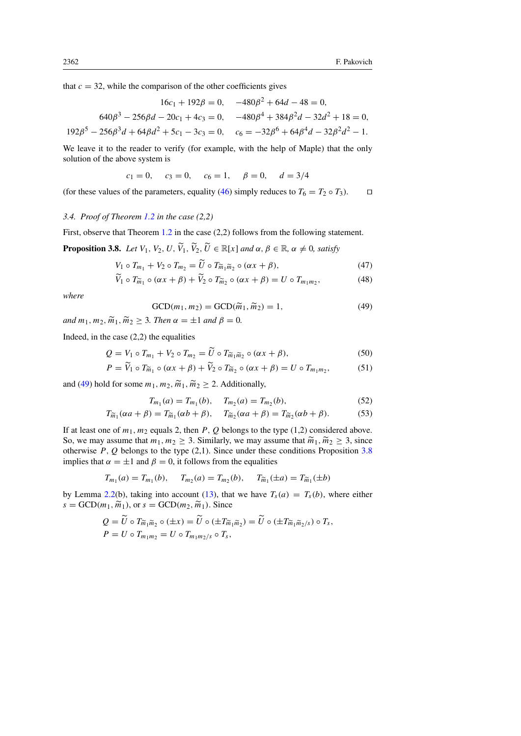that  $c = 32$ , while the comparison of the other coefficients gives

$$
16c_1 + 192\beta = 0, \quad -480\beta^2 + 64d - 48 = 0,
$$
  

$$
640\beta^3 - 256\beta d - 20c_1 + 4c_3 = 0, \quad -480\beta^4 + 384\beta^2 d - 32d^2 + 18 = 0,
$$
  

$$
192\beta^5 - 256\beta^3 d + 64\beta d^2 + 5c_1 - 3c_3 = 0, \quad c_6 = -32\beta^6 + 64\beta^4 d - 32\beta^2 d^2 - 1.
$$

We leave it to the reader to verify (for example, with the help of Maple) that the only solution of the above system is

$$
c_1 = 0
$$
,  $c_3 = 0$ ,  $c_6 = 1$ ,  $\beta = 0$ ,  $d = 3/4$ 

(for these values of the parameters, equality [\(46\)](#page-18-2) simply reduces to  $T_6 = T_2 \circ T_3$ ).  $\Box$ 

# *3.4. Proof of Theorem [1.2](#page-1-4) in the case (2,2)*

First, observe that Theorem [1.2](#page-1-4) in the case (2,2) follows from the following statement.

<span id="page-19-1"></span>**Proposition 3.8.** *Let*  $V_1$ ,  $V_2$ ,  $U$ ,  $\widetilde{V}_1$ ,  $\widetilde{V}_2$ ,  $\widetilde{U} \in \mathbb{R}[x]$  *and*  $\alpha$ ,  $\beta \in \mathbb{R}$ ,  $\alpha \neq 0$ , *satisfy* 

$$
V_1 \circ T_{m_1} + V_2 \circ T_{m_2} = \tilde{U} \circ T_{\tilde{m}_1 \tilde{m}_2} \circ (\alpha x + \beta),\tag{47}
$$

$$
\widetilde{V}_1 \circ T_{\widetilde{m}_1} \circ (\alpha x + \beta) + \widetilde{V}_2 \circ T_{\widetilde{m}_2} \circ (\alpha x + \beta) = U \circ T_{m_1 m_2},\tag{48}
$$

<span id="page-19-0"></span>*where*

<span id="page-19-5"></span><span id="page-19-4"></span><span id="page-19-3"></span><span id="page-19-2"></span>
$$
\text{GCD}(m_1, m_2) = \text{GCD}(\widetilde{m}_1, \widetilde{m}_2) = 1,\tag{49}
$$

*and*  $m_1, m_2, \widetilde{m}_1, \widetilde{m}_2 \geq 3$ *. Then*  $\alpha = \pm 1$  *and*  $\beta = 0$ *.* 

Indeed, in the case (2,2) the equalities

$$
Q = V_1 \circ T_{m_1} + V_2 \circ T_{m_2} = \tilde{U} \circ T_{\tilde{m}_1 \tilde{m}_2} \circ (\alpha x + \beta), \tag{50}
$$

$$
P = \widetilde{V}_1 \circ T_{\widetilde{m}_1} \circ (\alpha x + \beta) + \widetilde{V}_2 \circ T_{\widetilde{m}_2} \circ (\alpha x + \beta) = U \circ T_{m_1 m_2},\tag{51}
$$

and [\(49\)](#page-19-0) hold for some  $m_1, m_2, \widetilde{m}_1, \widetilde{m}_2 \geq 2$ . Additionally,

$$
T_{m_1}(a) = T_{m_1}(b), \quad T_{m_2}(a) = T_{m_2}(b), \tag{52}
$$

$$
T_{\widetilde{m}_1}(\alpha a + \beta) = T_{\widetilde{m}_1}(\alpha b + \beta), \quad T_{\widetilde{m}_2}(\alpha a + \beta) = T_{\widetilde{m}_2}(\alpha b + \beta). \tag{53}
$$

If at least one of  $m_1$ ,  $m_2$  equals 2, then P, Q belongs to the type (1,2) considered above. So, we may assume that  $m_1, m_2 \geq 3$ . Similarly, we may assume that  $\widetilde{m}_1, \widetilde{m}_2 \geq 3$ , since otherwise  $P$ ,  $Q$  belongs to the type (2,1). Since under these conditions Proposition [3.8](#page-19-1) implies that  $\alpha = \pm 1$  and  $\beta = 0$ , it follows from the equalities

$$
T_{m_1}(a) = T_{m_1}(b), \quad T_{m_2}(a) = T_{m_2}(b), \quad T_{\widetilde{m}_1}(\pm a) = T_{\widetilde{m}_1}(\pm b)
$$

by Lemma [2.2\(](#page-4-1)b), taking into account [\(13\)](#page-3-3), that we have  $T_s(a) = T_s(b)$ , where either  $s = GCD(m_1, \widetilde{m}_1)$ , or  $s = GCD(m_2, \widetilde{m}_1)$ . Since

$$
Q = \widetilde{U} \circ T_{\widetilde{m}_1 \widetilde{m}_2} \circ (\pm x) = \widetilde{U} \circ (\pm T_{\widetilde{m}_1 \widetilde{m}_2}) = \widetilde{U} \circ (\pm T_{\widetilde{m}_1 \widetilde{m}_2/s}) \circ T_s,
$$
  
\n
$$
P = U \circ T_{m_1 m_2} = U \circ T_{m_1 m_2/s} \circ T_s,
$$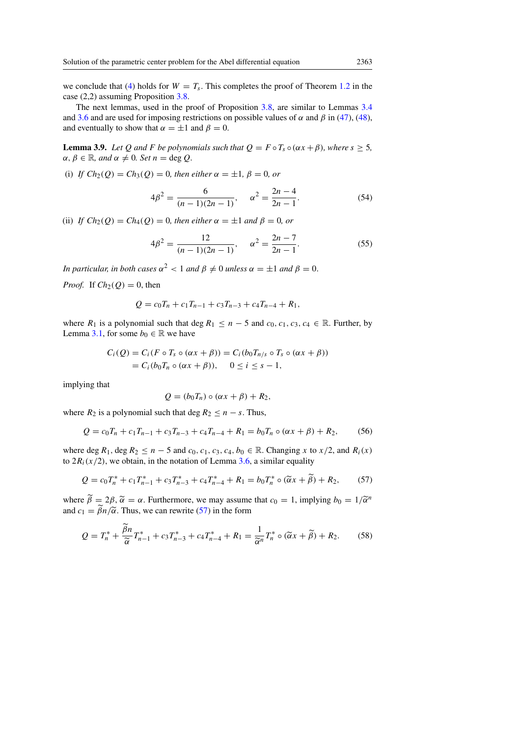we conclude that [\(4\)](#page-1-0) holds for  $W = T_s$ . This completes the proof of Theorem [1.2](#page-1-4) in the case (2,2) assuming Proposition [3.8.](#page-19-1)

The next lemmas, used in the proof of Proposition [3.8,](#page-19-1) are similar to Lemmas [3.4](#page-13-3) and [3.6](#page-14-5) and are used for imposing restrictions on possible values of  $\alpha$  and  $\beta$  in [\(47\)](#page-19-2), [\(48\)](#page-19-3), and eventually to show that  $\alpha = \pm 1$  and  $\beta = 0$ .

<span id="page-20-4"></span>**Lemma 3.9.** *Let* Q *and* F *be polynomials such that*  $Q = F \circ T_s \circ (\alpha x + \beta)$ *, where*  $s \geq 5$ *,*  $\alpha, \beta \in \mathbb{R}$ *, and*  $\alpha \neq 0$ *. Set*  $n = \text{deg } Q$ *.* 

(i) *If*  $Ch_2(Q) = Ch_3(Q) = 0$ *, then either*  $\alpha = \pm 1$ *,*  $\beta = 0$ *, or* 

<span id="page-20-3"></span><span id="page-20-2"></span>
$$
4\beta^2 = \frac{6}{(n-1)(2n-1)}, \quad \alpha^2 = \frac{2n-4}{2n-1}.
$$
 (54)

(ii) *If*  $Ch_2(Q) = Ch_4(Q) = 0$ , then either  $\alpha = \pm 1$  and  $\beta = 0$ , or

$$
4\beta^2 = \frac{12}{(n-1)(2n-1)}, \quad \alpha^2 = \frac{2n-7}{2n-1}.
$$
 (55)

*In particular, in both cases*  $\alpha^2 < 1$  *and*  $\beta \neq 0$  *unless*  $\alpha = \pm 1$  *and*  $\beta = 0$ .

*Proof.* If  $Ch_2(Q) = 0$ , then

$$
Q = c_0 T_n + c_1 T_{n-1} + c_3 T_{n-3} + c_4 T_{n-4} + R_1,
$$

where  $R_1$  is a polynomial such that deg  $R_1 \le n-5$  and  $c_0, c_1, c_3, c_4 \in \mathbb{R}$ . Further, by Lemma [3.1,](#page-11-1) for some  $b_0 \in \mathbb{R}$  we have

$$
C_i(Q) = C_i(F \circ T_s \circ (\alpha x + \beta)) = C_i(b_0T_{n/s} \circ T_s \circ (\alpha x + \beta))
$$
  
=  $C_i(b_0T_n \circ (\alpha x + \beta)), \quad 0 \le i \le s - 1,$ 

implying that

<span id="page-20-1"></span><span id="page-20-0"></span>
$$
Q = (b_0 T_n) \circ (\alpha x + \beta) + R_2,
$$

where  $R_2$  is a polynomial such that deg  $R_2 \le n - s$ . Thus,

$$
Q = c_0 T_n + c_1 T_{n-1} + c_3 T_{n-3} + c_4 T_{n-4} + R_1 = b_0 T_n \circ (\alpha x + \beta) + R_2,
$$
 (56)

where deg  $R_1$ , deg  $R_2 \le n - 5$  and  $c_0$ ,  $c_1$ ,  $c_3$ ,  $c_4$ ,  $b_0 \in \mathbb{R}$ . Changing x to  $x/2$ , and  $R_i(x)$ to  $2R_i(x/2)$ , we obtain, in the notation of Lemma [3.6,](#page-14-5) a similar equality

$$
Q = c_0 T_n^* + c_1 T_{n-1}^* + c_3 T_{n-3}^* + c_4 T_{n-4}^* + R_1 = b_0 T_n^* \circ (\widetilde{\alpha} x + \widetilde{\beta}) + R_2,\tag{57}
$$

where  $\tilde{\beta} = 2\beta$ ,  $\tilde{\alpha} = \alpha$ . Furthermore, we may assume that  $c_0 = 1$ , implying  $b_0 = 1/\tilde{\alpha}^n$ <br>and  $c_k = \tilde{\beta}_k / \tilde{\alpha}$ . Thus, we can rewrite (57) in the form and  $c_1 = \widetilde{\beta}n/\widetilde{\alpha}$ . Thus, we can rewrite [\(57\)](#page-20-0) in the form

$$
Q = T_n^* + \frac{\tilde{\beta}n}{\tilde{\alpha}} T_{n-1}^* + c_3 T_{n-3}^* + c_4 T_{n-4}^* + R_1 = \frac{1}{\tilde{\alpha}^n} T_n^* \circ (\tilde{\alpha} x + \tilde{\beta}) + R_2.
$$
 (58)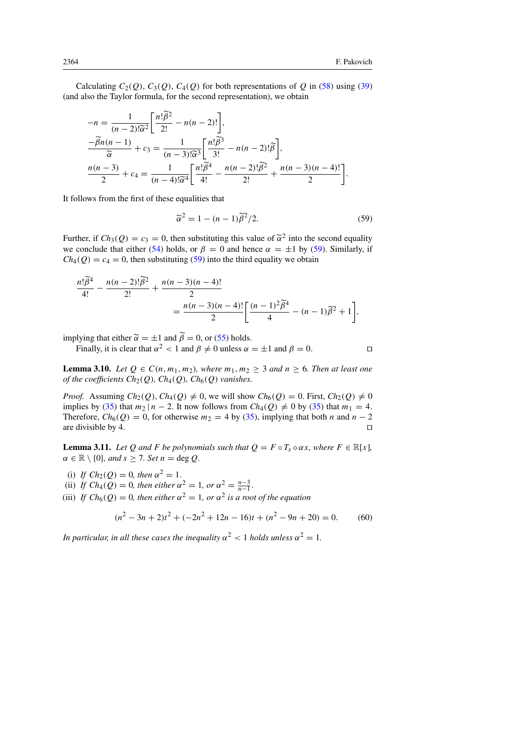Calculating  $C_2(Q)$ ,  $C_3(Q)$ ,  $C_4(Q)$  for both representations of Q in [\(58\)](#page-20-1) using [\(39\)](#page-15-0) (and also the Taylor formula, for the second representation), we obtain

$$
-n = \frac{1}{(n-2)!\widetilde{\alpha}^{2}} \left[ \frac{n! \widetilde{\beta}^{2}}{2!} - n(n-2)! \right],
$$
  

$$
\frac{-\widetilde{\beta}n(n-1)}{\widetilde{\alpha}} + c_{3} = \frac{1}{(n-3)!\widetilde{\alpha}^{3}} \left[ \frac{n! \widetilde{\beta}^{3}}{3!} - n(n-2)!\widetilde{\beta} \right],
$$
  

$$
\frac{n(n-3)}{2} + c_{4} = \frac{1}{(n-4)!\widetilde{\alpha}^{4}} \left[ \frac{n! \widetilde{\beta}^{4}}{4!} - \frac{n(n-2)!\widetilde{\beta}^{2}}{2!} + \frac{n(n-3)(n-4)!}{2} \right].
$$

It follows from the first of these equalities that

<span id="page-21-0"></span>
$$
\widetilde{\alpha}^2 = 1 - (n-1)\widetilde{\beta}^2/2. \tag{59}
$$

Further, if  $Ch_3(Q) = c_3 = 0$ , then substituting this value of  $\tilde{\alpha}^2$  into the second equality<br>we conclude that either (54) holds or  $\beta = 0$  and hence  $\alpha = \pm 1$  by (59). Similarly if we conclude that either [\(54\)](#page-20-2) holds, or  $\beta = 0$  and hence  $\alpha = \pm 1$  by [\(59\)](#page-21-0). Similarly, if  $Ch_4(Q) = c_4 = 0$ , then substituting [\(59\)](#page-21-0) into the third equality we obtain

$$
\frac{n! \tilde{\beta}^4}{4!} - \frac{n(n-2)! \tilde{\beta}^2}{2!} + \frac{n(n-3)(n-4)!}{2}
$$
  
= 
$$
\frac{n(n-3)(n-4)!}{2} \left[ \frac{(n-1)^2 \tilde{\beta}^4}{4} - (n-1) \tilde{\beta}^2 + 1 \right],
$$

implying that either  $\tilde{\alpha} = \pm 1$  and  $\tilde{\beta} = 0$ , or [\(55\)](#page-20-3) holds.

Finally, it is clear that  $\alpha^2 < 1$  and  $\beta \neq 0$  unless  $\alpha = \pm 1$  and  $\beta = 0$ .

<span id="page-21-2"></span>**Lemma 3.10.** *Let*  $Q \in C(n, m_1, m_2)$ *, where*  $m_1, m_2 \geq 3$  *and*  $n \geq 6$ *. Then at least one of the coefficients*  $Ch_2(Q)$ *,*  $Ch_4(Q)$ *,*  $Ch_6(Q)$  *vanishes.* 

*Proof.* Assuming  $Ch_2(Q)$ ,  $Ch_4(Q) \neq 0$ , we will show  $Ch_6(Q) = 0$ . First,  $Ch_2(Q) \neq 0$ implies by [\(35\)](#page-14-0) that  $m_2 | n - 2$ . It now follows from  $Ch_4(Q) \neq 0$  by (35) that  $m_1 = 4$ . Therefore,  $Ch_6(Q) = 0$ , for otherwise  $m_2 = 4$  by [\(35\)](#page-14-0), implying that both n and  $n - 2$ are divisible by 4.  $\Box$ 

<span id="page-21-3"></span>**Lemma 3.11.** *Let* Q *and* F *be polynomials such that*  $Q = F \circ T_s \circ \alpha x$ *, where*  $F \in \mathbb{R}[x]$ *,*  $\alpha \in \mathbb{R} \setminus \{0\}$ *, and*  $s \geq 7$ *. Set*  $n = \text{deg } Q$ *.* 

(i) *If*  $Ch_2(Q) = 0$ *, then*  $\alpha^2 = 1$ *.* 

(ii) *If*  $Ch_4(Q) = 0$ , then either  $\alpha^2 = 1$ , or  $\alpha^2 = \frac{n-3}{n-1}$ .

(iii) *If*  $Ch_6(Q) = 0$ , then either  $\alpha^2 = 1$ , or  $\alpha^2$  is a root of the equation

<span id="page-21-1"></span>
$$
(n2 - 3n + 2)t2 + (-2n2 + 12n - 16)t + (n2 - 9n + 20) = 0.
$$
 (60)

In particular, in all these cases the inequality  $\alpha^2 < 1$  holds unless  $\alpha^2 = 1$ .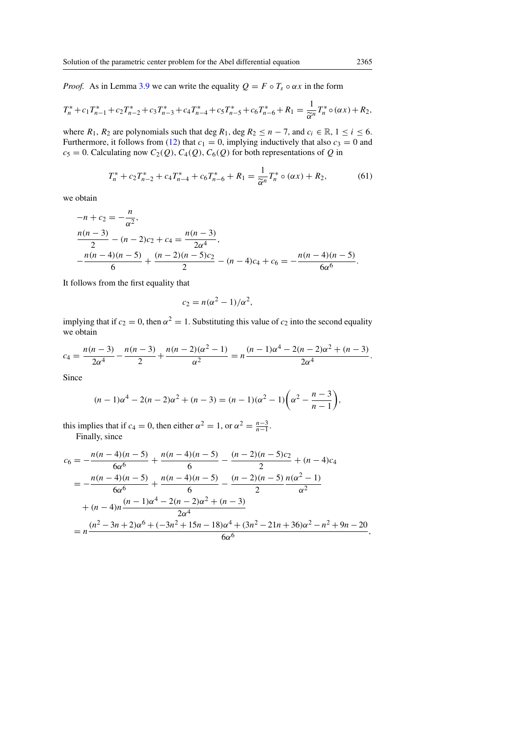*Proof.* As in Lemma [3.9](#page-20-4) we can write the equality  $Q = F \circ T_s \circ \alpha x$  in the form

$$
T_n^* + c_1 T_{n-1}^* + c_2 T_{n-2}^* + c_3 T_{n-3}^* + c_4 T_{n-4}^* + c_5 T_{n-5}^* + c_6 T_{n-6}^* + R_1 = \frac{1}{\widetilde{\alpha}^n} T_n^* \circ (\alpha x) + R_2,
$$

where  $R_1, R_2$  are polynomials such that deg  $R_1$ , deg  $R_2 \le n - 7$ , and  $c_i \in \mathbb{R}, 1 \le i \le 6$ . Furthermore, it follows from [\(12\)](#page-3-1) that  $c_1 = 0$ , implying inductively that also  $c_3 = 0$  and  $c_5 = 0$ . Calculating now  $C_2(Q)$ ,  $C_4(Q)$ ,  $C_6(Q)$  for both representations of Q in

$$
T_n^* + c_2 T_{n-2}^* + c_4 T_{n-4}^* + c_6 T_{n-6}^* + R_1 = \frac{1}{\tilde{\alpha}^n} T_n^* \circ (\alpha x) + R_2,\tag{61}
$$

we obtain

$$
-n + c_2 = -\frac{n}{\alpha^2},
$$
  
\n
$$
\frac{n(n-3)}{2} - (n-2)c_2 + c_4 = \frac{n(n-3)}{2\alpha^4},
$$
  
\n
$$
-\frac{n(n-4)(n-5)}{6} + \frac{(n-2)(n-5)c_2}{2} - (n-4)c_4 + c_6 = -\frac{n(n-4)(n-5)}{6\alpha^6}.
$$

It follows from the first equality that

$$
c_2 = n(\alpha^2 - 1)/\alpha^2,
$$

implying that if  $c_2 = 0$ , then  $\alpha^2 = 1$ . Substituting this value of  $c_2$  into the second equality we obtain

$$
c_4 = \frac{n(n-3)}{2\alpha^4} - \frac{n(n-3)}{2} + \frac{n(n-2)(\alpha^2 - 1)}{\alpha^2} = n \frac{(n-1)\alpha^4 - 2(n-2)\alpha^2 + (n-3)}{2\alpha^4}.
$$

Since

$$
(n-1)\alpha^{4} - 2(n-2)\alpha^{2} + (n-3) = (n-1)(\alpha^{2} - 1)\left(\alpha^{2} - \frac{n-3}{n-1}\right),
$$

this implies that if  $c_4 = 0$ , then either  $\alpha^2 = 1$ , or  $\alpha^2 = \frac{n-3}{n-1}$ . Finally, since

$$
c_6 = -\frac{n(n-4)(n-5)}{6\alpha^6} + \frac{n(n-4)(n-5)}{6} - \frac{(n-2)(n-5)c_2}{2} + (n-4)c_4
$$
  
= 
$$
-\frac{n(n-4)(n-5)}{6\alpha^6} + \frac{n(n-4)(n-5)}{6} - \frac{(n-2)(n-5)}{2} \frac{n(\alpha^2 - 1)}{\alpha^2}
$$
  
+ 
$$
(n-4)n \frac{(n-1)\alpha^4 - 2(n-2)\alpha^2 + (n-3)}{2\alpha^4}
$$
  
= 
$$
n \frac{(n^2 - 3n + 2)\alpha^6 + (-3n^2 + 15n - 18)\alpha^4 + (3n^2 - 21n + 36)\alpha^2 - n^2 + 9n - 20}{6\alpha^6},
$$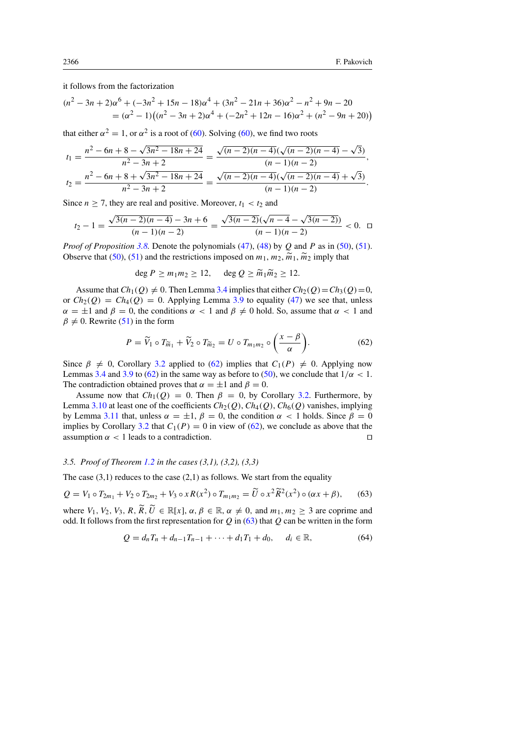it follows from the factorization

$$
(n2 - 3n + 2)\alpha6 + (-3n2 + 15n - 18)\alpha4 + (3n2 - 21n + 36)\alpha2 - n2 + 9n - 20
$$
  
= (\alpha<sup>2</sup> - 1)((n<sup>2</sup> - 3n + 2)\alpha<sup>4</sup> + (-2n<sup>2</sup> + 12n - 16)\alpha<sup>2</sup> + (n<sup>2</sup> - 9n + 20))

that either  $\alpha^2 = 1$ , or  $\alpha^2$  is a root of [\(60\)](#page-21-1). Solving (60), we find two roots

$$
t_1 = \frac{n^2 - 6n + 8 - \sqrt{3n^2 - 18n + 24}}{n^2 - 3n + 2} = \frac{\sqrt{(n-2)(n-4)}(\sqrt{(n-2)(n-4)} - \sqrt{3})}{(n-1)(n-2)},
$$
  

$$
t_2 = \frac{n^2 - 6n + 8 + \sqrt{3n^2 - 18n + 24}}{n^2 - 3n + 2} = \frac{\sqrt{(n-2)(n-4)}(\sqrt{(n-2)(n-4)} + \sqrt{3})}{(n-1)(n-2)}.
$$

Since  $n \ge 7$ , they are real and positive. Moreover,  $t_1 < t_2$  and

$$
t_2 - 1 = \frac{\sqrt{3(n-2)(n-4)} - 3n + 6}{(n-1)(n-2)} = \frac{\sqrt{3(n-2)}(\sqrt{n-4} - \sqrt{3(n-2)})}{(n-1)(n-2)} < 0. \quad \Box
$$

*Proof of Proposition* [3.8.](#page-19-1) Denote the polynomials [\(47\)](#page-19-2), [\(48\)](#page-19-3) by Q and P as in [\(50\)](#page-19-4), [\(51\)](#page-19-5). Observe that [\(50\)](#page-19-4), [\(51\)](#page-19-5) and the restrictions imposed on  $m_1$ ,  $m_2$ ,  $\widetilde{m}_1$ ,  $\widetilde{m}_2$  imply that

$$
\deg P \ge m_1 m_2 \ge 12, \quad \deg Q \ge \widetilde{m}_1 \widetilde{m}_2 \ge 12.
$$

Assume that  $Ch_1(Q) \neq 0$ . Then Lemma [3.4](#page-13-3) implies that either  $Ch_2(Q) = Ch_3(Q) = 0$ , or  $Ch_2(Q) = Ch_4(Q) = 0$ . Applying Lemma [3.9](#page-20-4) to equality [\(47\)](#page-19-2) we see that, unless  $\alpha = \pm 1$  and  $\beta = 0$ , the conditions  $\alpha < 1$  and  $\beta \neq 0$  hold. So, assume that  $\alpha < 1$  and  $\beta \neq 0$ . Rewrite [\(51\)](#page-19-5) in the form

<span id="page-23-0"></span>
$$
P = \widetilde{V}_1 \circ T_{\widetilde{m}_1} + \widetilde{V}_2 \circ T_{\widetilde{m}_2} = U \circ T_{m_1 m_2} \circ \left(\frac{x - \beta}{\alpha}\right). \tag{62}
$$

Since  $\beta \neq 0$ , Corollary [3.2](#page-12-2) applied to [\(62\)](#page-23-0) implies that  $C_1(P) \neq 0$ . Applying now Lemmas [3.4](#page-13-3) and [3.9](#page-20-4) to [\(62\)](#page-23-0) in the same way as before to [\(50\)](#page-19-4), we conclude that  $1/\alpha < 1$ . The contradiction obtained proves that  $\alpha = \pm 1$  and  $\beta = 0$ .

Assume now that  $Ch_1(Q) = 0$ . Then  $\beta = 0$ , by Corollary [3.2.](#page-12-2) Furthermore, by Lemma [3.10](#page-21-2) at least one of the coefficients  $Ch_2(Q)$ ,  $Ch_4(Q)$ ,  $Ch_6(Q)$  vanishes, implying by Lemma [3.11](#page-21-3) that, unless  $\alpha = \pm 1$ ,  $\beta = 0$ , the condition  $\alpha < 1$  holds. Since  $\beta = 0$ implies by Corollary [3.2](#page-12-2) that  $C_1(P) = 0$  in view of [\(62\)](#page-23-0), we conclude as above that the assumption  $\alpha$  < 1 leads to a contradiction.

# *3.5. Proof of Theorem [1.2](#page-1-4) in the cases (3,1), (3,2), (3,3)*

The case  $(3,1)$  reduces to the case  $(2,1)$  as follows. We start from the equality

<span id="page-23-1"></span>
$$
Q = V_1 \circ T_{2m_1} + V_2 \circ T_{2m_2} + V_3 \circ x R(x^2) \circ T_{m_1 m_2} = \tilde{U} \circ x^2 \tilde{R}^2(x^2) \circ (\alpha x + \beta), \tag{63}
$$

where  $V_1$ ,  $V_2$ ,  $V_3$ ,  $R$ ,  $\widetilde{R}$ ,  $\widetilde{U} \in \mathbb{R}[x]$ ,  $\alpha$ ,  $\beta \in \mathbb{R}$ ,  $\alpha \neq 0$ , and  $m_1, m_2 \geq 3$  are coprime and odd. It follows from the first representation for  $Q$  in [\(63\)](#page-23-1) that  $Q$  can be written in the form

$$
Q = d_n T_n + d_{n-1} T_{n-1} + \dots + d_1 T_1 + d_0, \quad d_i \in \mathbb{R},
$$
\n(64)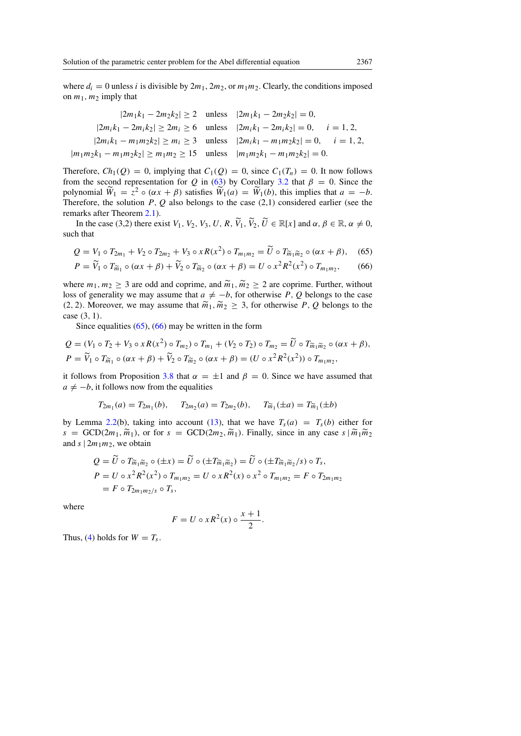where  $d_i = 0$  unless i is divisible by  $2m_1$ ,  $2m_2$ , or  $m_1m_2$ . Clearly, the conditions imposed on  $m_1$ ,  $m_2$  imply that

$$
|2m_1k_1 - 2m_2k_2| \ge 2 \quad \text{unless} \quad |2m_1k_1 - 2m_2k_2| = 0,
$$
  

$$
|2m_ik_1 - 2m_ik_2| \ge 2m_i \ge 6 \quad \text{unless} \quad |2m_ik_1 - 2m_ik_2| = 0, \quad i = 1, 2,
$$
  

$$
|2m_ik_1 - m_1m_2k_2| \ge m_i \ge 3 \quad \text{unless} \quad |2m_ik_1 - m_1m_2k_2| = 0, \quad i = 1, 2,
$$
  

$$
|m_1m_2k_1 - m_1m_2k_2| \ge m_1m_2 \ge 15 \quad \text{unless} \quad |m_1m_2k_1 - m_1m_2k_2| = 0.
$$

Therefore,  $Ch_1(Q) = 0$ , implying that  $C_1(Q) = 0$ , since  $C_1(T_n) = 0$ . It now follows from the second representation for Q in [\(63\)](#page-23-1) by Corollary [3.2](#page-12-2) that  $\beta = 0$ . Since the polynomial  $\widetilde{W}_1 = z^2 \circ (\alpha x + \beta)$  satisfies  $\widetilde{W}_1(a) = \widetilde{W}_1(b)$ , this implies that  $a = -b$ . Therefore, the solution  $P$ ,  $Q$  also belongs to the case (2,1) considered earlier (see the remarks after Theorem [2.1\)](#page-3-0).

In the case (3,2) there exist  $V_1$ ,  $V_2$ ,  $V_3$ ,  $U$ ,  $R$ ,  $\widetilde{V}_1$ ,  $\widetilde{V}_2$ ,  $\widetilde{U} \in \mathbb{R}[x]$  and  $\alpha, \beta \in \mathbb{R}$ ,  $\alpha \neq 0$ , such that

<span id="page-24-0"></span>
$$
Q = V_1 \circ T_{2m_1} + V_2 \circ T_{2m_2} + V_3 \circ xR(x^2) \circ T_{m_1m_2} = \tilde{U} \circ T_{\tilde{m}_1\tilde{m}_2} \circ (\alpha x + \beta), \quad (65)
$$

<span id="page-24-1"></span>
$$
P = \widetilde{V}_1 \circ T_{\widetilde{m}_1} \circ (\alpha x + \beta) + \widetilde{V}_2 \circ T_{\widetilde{m}_2} \circ (\alpha x + \beta) = U \circ x^2 R^2(x^2) \circ T_{m_1 m_2},\tag{66}
$$

where  $m_1, m_2 \geq 3$  are odd and coprime, and  $\widetilde{m}_1, \widetilde{m}_2 \geq 2$  are coprime. Further, without loss of generality we may assume that  $a \neq -b$ , for otherwise P, Q belongs to the case (2, 2). Moreover, we may assume that  $\widetilde{m}_1, \widetilde{m}_2 \geq 3$ , for otherwise P, Q belongs to the case (3, 1).

Since equalities  $(65)$ ,  $(66)$  may be written in the form

$$
Q = (V_1 \circ T_2 + V_3 \circ xR(x^2) \circ T_{m_2}) \circ T_{m_1} + (V_2 \circ T_2) \circ T_{m_2} = \widetilde{U} \circ T_{\widetilde{m}_1 \widetilde{m}_2} \circ (\alpha x + \beta),
$$
  
\n
$$
P = \widetilde{V}_1 \circ T_{\widetilde{m}_1} \circ (\alpha x + \beta) + \widetilde{V}_2 \circ T_{\widetilde{m}_2} \circ (\alpha x + \beta) = (U \circ x^2 R^2(x^2)) \circ T_{m_1 m_2},
$$

it follows from Proposition [3.8](#page-19-1) that  $\alpha = \pm 1$  and  $\beta = 0$ . Since we have assumed that  $a \neq -b$ , it follows now from the equalities

$$
T_{2m_1}(a) = T_{2m_1}(b), \quad T_{2m_2}(a) = T_{2m_2}(b), \quad T_{\widetilde{m}_1}(\pm a) = T_{\widetilde{m}_1}(\pm b)
$$

by Lemma [2.2\(](#page-4-1)b), taking into account [\(13\)](#page-3-3), that we have  $T_s(a) = T_s(b)$  either for  $s = GCD(2m_1, \widetilde{m}_1)$ , or for  $s = GCD(2m_2, \widetilde{m}_1)$ . Finally, since in any case  $s | \widetilde{m}_1 \widetilde{m}_2$ and  $s \mid 2m_1m_2$ , we obtain

$$
Q = \tilde{U} \circ T_{\tilde{m}_1 \tilde{m}_2} \circ (\pm x) = \tilde{U} \circ (\pm T_{\tilde{m}_1 \tilde{m}_2}) = \tilde{U} \circ (\pm T_{\tilde{m}_1 \tilde{m}_2}/s) \circ T_s,
$$
  
\n
$$
P = U \circ x^2 R^2(x^2) \circ T_{m_1 m_2} = U \circ x R^2(x) \circ x^2 \circ T_{m_1 m_2} = F \circ T_{2m_1 m_2}
$$
  
\n
$$
= F \circ T_{2m_1 m_2/s} \circ T_s,
$$

where

$$
F = U \circ x R^2(x) \circ \frac{x+1}{2}.
$$

Thus, [\(4\)](#page-1-0) holds for  $W = T_s$ .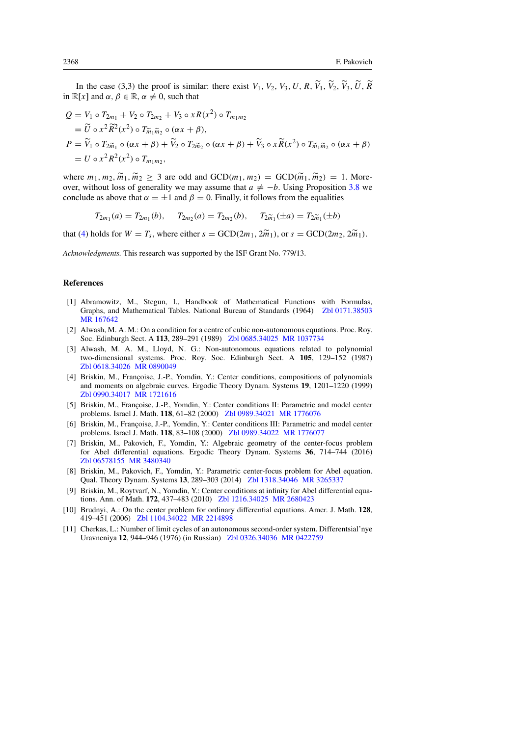In the case (3,3) the proof is similar: there exist  $V_1$ ,  $V_2$ ,  $V_3$ ,  $U$ ,  $R$ ,  $\widetilde{V}_1$ ,  $\widetilde{V}_2$ ,  $\widetilde{V}_3$ ,  $\widetilde{U}$ ,  $\widetilde{R}$ in  $\mathbb{R}[x]$  and  $\alpha, \beta \in \mathbb{R}, \alpha \neq 0$ , such that

$$
Q = V_1 \circ T_{2m_1} + V_2 \circ T_{2m_2} + V_3 \circ xR(x^2) \circ T_{m_1m_2}
$$
  
=  $\widetilde{U} \circ x^2 \widetilde{R}^2(x^2) \circ T_{\widetilde{m}_1 \widetilde{m}_2} \circ (\alpha x + \beta),$   

$$
P = \widetilde{V}_1 \circ T_{2\widetilde{m}_1} \circ (\alpha x + \beta) + \widetilde{V}_2 \circ T_{2\widetilde{m}_2} \circ (\alpha x + \beta) + \widetilde{V}_3 \circ x \widetilde{R}(x^2) \circ T_{\widetilde{m}_1 \widetilde{m}_2} \circ (\alpha x + \beta)
$$
  
=  $U \circ x^2 R^2(x^2) \circ T_{m_1 m_2},$ 

where  $m_1, m_2, \widetilde{m}_1, \widetilde{m}_2 \geq 3$  are odd and  $GCD(m_1, m_2) = GCD(\widetilde{m}_1, \widetilde{m}_2) = 1$ . Moreover, without loss of generality we may assume that  $a \neq -b$ . Using Proposition [3.8](#page-19-1) we conclude as above that  $\alpha = \pm 1$  and  $\beta = 0$ . Finally, it follows from the equalities

$$
T_{2m_1}(a) = T_{2m_1}(b), \quad T_{2m_2}(a) = T_{2m_2}(b), \quad T_{2\widetilde{m}_1}(\pm a) = T_{2\widetilde{m}_1}(\pm b)
$$

that [\(4\)](#page-1-0) holds for  $W = T_s$ , where either  $s = \text{GCD}(2m_1, 2\tilde{m}_1)$ , or  $s = \text{GCD}(2m_2, 2\tilde{m}_1)$ .

*Acknowledgments.* This research was supported by the ISF Grant No. 779/13.

# References

- <span id="page-25-9"></span>[1] Abramowitz, M., Stegun, I., Handbook of Mathematical Functions with Formulas, Graphs, and Mathematical Tables. National Bureau of Standards (1964) [Zbl 0171.38503](http://www.zentralblatt-math.org/zmath/en/advanced/?q=an:0171.38503&format=complete) [MR 167642](http://www.ams.org/mathscinet-getitem?mr=167642)
- <span id="page-25-2"></span>[2] Alwash, M. A. M.: On a condition for a centre of cubic non-autonomous equations. Proc. Roy. Soc. Edinburgh Sect. A 113, 289–291 (1989) [Zbl 0685.34025](http://www.zentralblatt-math.org/zmath/en/advanced/?q=an:0685.34025&format=complete) [MR 1037734](http://www.ams.org/mathscinet-getitem?mr=1037734)
- <span id="page-25-1"></span>[3] Alwash, M. A. M., Lloyd, N. G.: Non-autonomous equations related to polynomial two-dimensional systems. Proc. Roy. Soc. Edinburgh Sect. A 105, 129–152 (1987) [Zbl 0618.34026](http://www.zentralblatt-math.org/zmath/en/advanced/?q=an:0618.34026&format=complete) [MR 0890049](http://www.ams.org/mathscinet-getitem?mr=0890049)
- <span id="page-25-5"></span>[4] Briskin, M., Françoise, J.-P., Yomdin, Y.: Center conditions, compositions of polynomials and moments on algebraic curves. Ergodic Theory Dynam. Systems 19, 1201–1220 (1999) [Zbl 0990.34017](http://www.zentralblatt-math.org/zmath/en/advanced/?q=an:0990.34017&format=complete) [MR 1721616](http://www.ams.org/mathscinet-getitem?mr=1721616)
- [5] Briskin, M., Francoise, J.-P., Yomdin, Y.: Center conditions II: Parametric and model center problems. Israel J. Math. 118, 61–82 (2000) [Zbl 0989.34021](http://www.zentralblatt-math.org/zmath/en/advanced/?q=an:0989.34021&format=complete) [MR 1776076](http://www.ams.org/mathscinet-getitem?mr=1776076)
- <span id="page-25-6"></span>[6] Briskin, M., Françoise, J.-P., Yomdin, Y.: Center conditions III: Parametric and model center problems. Israel J. Math. 118, 83–108 (2000) [Zbl 0989.34022](http://www.zentralblatt-math.org/zmath/en/advanced/?q=an:0989.34022&format=complete) [MR 1776077](http://www.ams.org/mathscinet-getitem?mr=1776077)
- <span id="page-25-3"></span>[7] Briskin, M., Pakovich, F., Yomdin, Y.: Algebraic geometry of the center-focus problem for Abel differential equations. Ergodic Theory Dynam. Systems 36, 714–744 (2016) [Zbl 06578155](http://www.zentralblatt-math.org/zmath/en/advanced/?q=an:06578155&format=complete) [MR 3480340](http://www.ams.org/mathscinet-getitem?mr=3480340)
- <span id="page-25-8"></span>[8] Briskin, M., Pakovich, F., Yomdin, Y.: Parametric center-focus problem for Abel equation. Qual. Theory Dynam. Systems 13, 289–303 (2014) [Zbl 1318.34046](http://www.zentralblatt-math.org/zmath/en/advanced/?q=an:1318.34046&format=complete) [MR 3265337](http://www.ams.org/mathscinet-getitem?mr=3265337)
- <span id="page-25-4"></span>[9] Briskin, M., Roytvarf, N., Yomdin, Y.: Center conditions at infinity for Abel differential equations. Ann. of Math. 172, 437–483 (2010) [Zbl 1216.34025](http://www.zentralblatt-math.org/zmath/en/advanced/?q=an:1216.34025&format=complete) [MR 2680423](http://www.ams.org/mathscinet-getitem?mr=2680423)
- <span id="page-25-7"></span>[10] Brudnyi, A.: On the center problem for ordinary differential equations. Amer. J. Math. 128, 419–451 (2006) [Zbl 1104.34022](http://www.zentralblatt-math.org/zmath/en/advanced/?q=an:1104.34022&format=complete) [MR 2214898](http://www.ams.org/mathscinet-getitem?mr=2214898)
- <span id="page-25-0"></span>[11] Cherkas, L.: Number of limit cycles of an autonomous second-order system. Differentsial'nye Uravneniya 12, 944–946 (1976) (in Russian) [Zbl 0326.34036](http://www.zentralblatt-math.org/zmath/en/advanced/?q=an:0326.34036&format=complete) [MR 0422759](http://www.ams.org/mathscinet-getitem?mr=0422759)